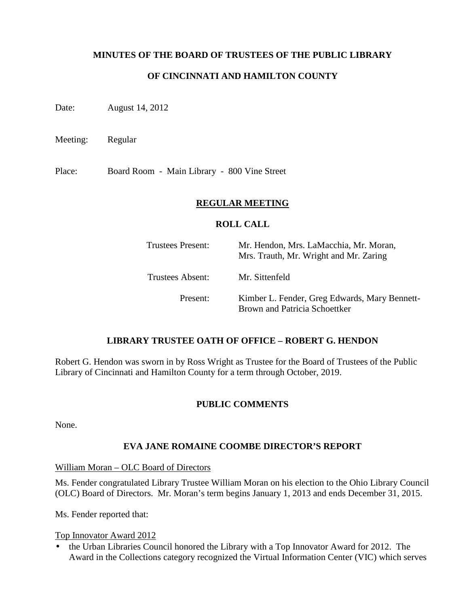## **MINUTES OF THE BOARD OF TRUSTEES OF THE PUBLIC LIBRARY**

# **OF CINCINNATI AND HAMILTON COUNTY**

Date: August 14, 2012

Meeting: Regular

Place: Board Room - Main Library - 800 Vine Street

### **REGULAR MEETING**

#### **ROLL CALL**

| Trustees Present: | Mr. Hendon, Mrs. LaMacchia, Mr. Moran,<br>Mrs. Trauth, Mr. Wright and Mr. Zaring |
|-------------------|----------------------------------------------------------------------------------|
| Trustees Absent:  | Mr. Sittenfeld                                                                   |
| Present:          | Kimber L. Fender, Greg Edwards, Mary Bennett-<br>Brown and Patricia Schoettker   |

### **LIBRARY TRUSTEE OATH OF OFFICE – ROBERT G. HENDON**

Robert G. Hendon was sworn in by Ross Wright as Trustee for the Board of Trustees of the Public Library of Cincinnati and Hamilton County for a term through October, 2019.

### **PUBLIC COMMENTS**

None.

# **EVA JANE ROMAINE COOMBE DIRECTOR'S REPORT**

William Moran – OLC Board of Directors

Ms. Fender congratulated Library Trustee William Moran on his election to the Ohio Library Council (OLC) Board of Directors. Mr. Moran's term begins January 1, 2013 and ends December 31, 2015.

Ms. Fender reported that:

Top Innovator Award 2012

• the Urban Libraries Council honored the Library with a Top Innovator Award for 2012. The Award in the Collections category recognized the Virtual Information Center (VIC) which serves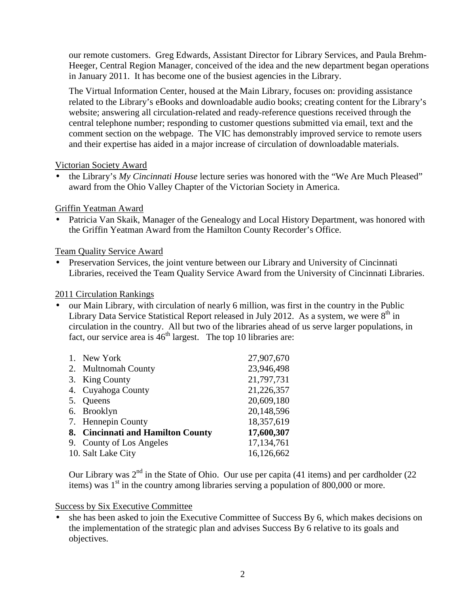our remote customers. Greg Edwards, Assistant Director for Library Services, and Paula Brehm-Heeger, Central Region Manager, conceived of the idea and the new department began operations in January 2011. It has become one of the busiest agencies in the Library.

The Virtual Information Center, housed at the Main Library, focuses on: providing assistance related to the Library's eBooks and downloadable audio books; creating content for the Library's website; answering all circulation-related and ready-reference questions received through the central telephone number; responding to customer questions submitted via email, text and the comment section on the webpage. The VIC has demonstrably improved service to remote users and their expertise has aided in a major increase of circulation of downloadable materials.

# Victorian Society Award

• the Library's *My Cincinnati House* lecture series was honored with the "We Are Much Pleased" award from the Ohio Valley Chapter of the Victorian Society in America.

## Griffin Yeatman Award

• Patricia Van Skaik, Manager of the Genealogy and Local History Department, was honored with the Griffin Yeatman Award from the Hamilton County Recorder's Office.

## Team Quality Service Award

• Preservation Services, the joint venture between our Library and University of Cincinnati Libraries, received the Team Quality Service Award from the University of Cincinnati Libraries.

## 2011 Circulation Rankings

• our Main Library, with circulation of nearly 6 million, was first in the country in the Public Library Data Service Statistical Report released in July 2012. As a system, we were  $8<sup>th</sup>$  in circulation in the country. All but two of the libraries ahead of us serve larger populations, in fact, our service area is  $46<sup>th</sup>$  largest. The top 10 libraries are:

| 1. New York                       | 27,907,670 |
|-----------------------------------|------------|
| 2. Multnomah County               | 23,946,498 |
| 3. King County                    | 21,797,731 |
| 4. Cuyahoga County                | 21,226,357 |
| 5. Queens                         | 20,609,180 |
| 6. Brooklyn                       | 20,148,596 |
| 7. Hennepin County                | 18,357,619 |
| 8. Cincinnati and Hamilton County | 17,600,307 |
| 9. County of Los Angeles          | 17,134,761 |
| 10. Salt Lake City                | 16,126,662 |
|                                   |            |

Our Library was  $2<sup>nd</sup>$  in the State of Ohio. Our use per capita (41 items) and per cardholder (22 items) was  $1<sup>st</sup>$  in the country among libraries serving a population of 800,000 or more.

### Success by Six Executive Committee

• she has been asked to join the Executive Committee of Success By 6, which makes decisions on the implementation of the strategic plan and advises Success By 6 relative to its goals and objectives.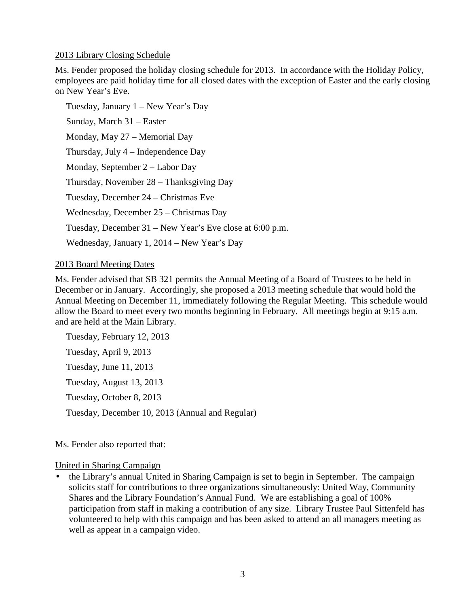### 2013 Library Closing Schedule

Ms. Fender proposed the holiday closing schedule for 2013. In accordance with the Holiday Policy, employees are paid holiday time for all closed dates with the exception of Easter and the early closing on New Year's Eve.

Tuesday, January 1 – New Year's Day Sunday, March 31 – Easter Monday, May 27 – Memorial Day Thursday, July 4 – Independence Day Monday, September 2 – Labor Day Thursday, November 28 – Thanksgiving Day Tuesday, December 24 – Christmas Eve Wednesday, December 25 – Christmas Day Tuesday, December 31 – New Year's Eve close at 6:00 p.m. Wednesday, January 1, 2014 – New Year's Day

### 2013 Board Meeting Dates

Ms. Fender advised that SB 321 permits the Annual Meeting of a Board of Trustees to be held in December or in January. Accordingly, she proposed a 2013 meeting schedule that would hold the Annual Meeting on December 11, immediately following the Regular Meeting. This schedule would allow the Board to meet every two months beginning in February. All meetings begin at 9:15 a.m. and are held at the Main Library.

Tuesday, February 12, 2013 Tuesday, April 9, 2013 Tuesday, June 11, 2013 Tuesday, August 13, 2013 Tuesday, October 8, 2013 Tuesday, December 10, 2013 (Annual and Regular)

Ms. Fender also reported that:

### United in Sharing Campaign

• the Library's annual United in Sharing Campaign is set to begin in September. The campaign solicits staff for contributions to three organizations simultaneously: United Way, Community Shares and the Library Foundation's Annual Fund. We are establishing a goal of 100% participation from staff in making a contribution of any size. Library Trustee Paul Sittenfeld has volunteered to help with this campaign and has been asked to attend an all managers meeting as well as appear in a campaign video.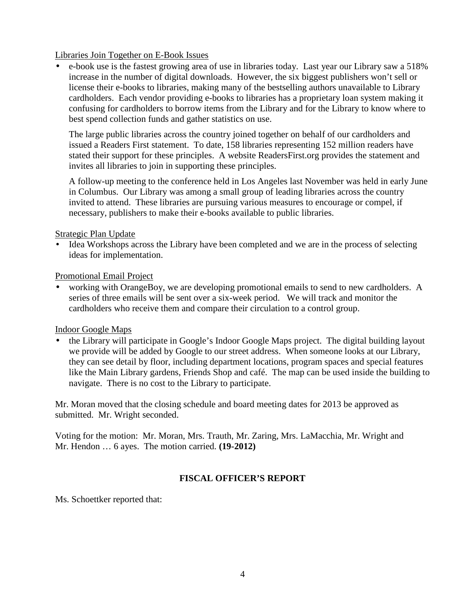Libraries Join Together on E-Book Issues

• e-book use is the fastest growing area of use in libraries today. Last year our Library saw a 518% increase in the number of digital downloads. However, the six biggest publishers won't sell or license their e-books to libraries, making many of the bestselling authors unavailable to Library cardholders. Each vendor providing e-books to libraries has a proprietary loan system making it confusing for cardholders to borrow items from the Library and for the Library to know where to best spend collection funds and gather statistics on use.

The large public libraries across the country joined together on behalf of our cardholders and issued a Readers First statement. To date, 158 libraries representing 152 million readers have stated their support for these principles. A website ReadersFirst.org provides the statement and invites all libraries to join in supporting these principles.

A follow-up meeting to the conference held in Los Angeles last November was held in early June in Columbus. Our Library was among a small group of leading libraries across the country invited to attend. These libraries are pursuing various measures to encourage or compel, if necessary, publishers to make their e-books available to public libraries.

Strategic Plan Update

• Idea Workshops across the Library have been completed and we are in the process of selecting ideas for implementation.

Promotional Email Project

• working with OrangeBoy, we are developing promotional emails to send to new cardholders. A series of three emails will be sent over a six-week period. We will track and monitor the cardholders who receive them and compare their circulation to a control group.

Indoor Google Maps

• the Library will participate in Google's Indoor Google Maps project. The digital building layout we provide will be added by Google to our street address. When someone looks at our Library, they can see detail by floor, including department locations, program spaces and special features like the Main Library gardens, Friends Shop and café. The map can be used inside the building to navigate. There is no cost to the Library to participate.

Mr. Moran moved that the closing schedule and board meeting dates for 2013 be approved as submitted. Mr. Wright seconded.

Voting for the motion: Mr. Moran, Mrs. Trauth, Mr. Zaring, Mrs. LaMacchia, Mr. Wright and Mr. Hendon … 6 ayes. The motion carried. **(19-2012)**

# **FISCAL OFFICER'S REPORT**

Ms. Schoettker reported that: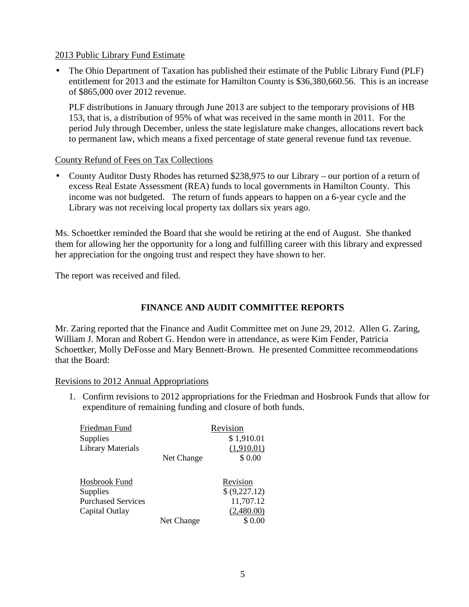### 2013 Public Library Fund Estimate

• The Ohio Department of Taxation has published their estimate of the Public Library Fund (PLF) entitlement for 2013 and the estimate for Hamilton County is \$36,380,660.56. This is an increase of \$865,000 over 2012 revenue.

PLF distributions in January through June 2013 are subject to the temporary provisions of HB 153, that is, a distribution of 95% of what was received in the same month in 2011. For the period July through December, unless the state legislature make changes, allocations revert back to permanent law, which means a fixed percentage of state general revenue fund tax revenue.

### County Refund of Fees on Tax Collections

• County Auditor Dusty Rhodes has returned \$238,975 to our Library – our portion of a return of excess Real Estate Assessment (REA) funds to local governments in Hamilton County. This income was not budgeted. The return of funds appears to happen on a 6-year cycle and the Library was not receiving local property tax dollars six years ago.

Ms. Schoettker reminded the Board that she would be retiring at the end of August. She thanked them for allowing her the opportunity for a long and fulfilling career with this library and expressed her appreciation for the ongoing trust and respect they have shown to her.

The report was received and filed.

# **FINANCE AND AUDIT COMMITTEE REPORTS**

Mr. Zaring reported that the Finance and Audit Committee met on June 29, 2012. Allen G. Zaring, William J. Moran and Robert G. Hendon were in attendance, as were Kim Fender, Patricia Schoettker, Molly DeFosse and Mary Bennett-Brown. He presented Committee recommendations that the Board:

### Revisions to 2012 Annual Appropriations

1. Confirm revisions to 2012 appropriations for the Friedman and Hosbrook Funds that allow for expenditure of remaining funding and closure of both funds.

| Friedman Fund<br><b>Supplies</b> |            | Revision<br>\$1,910.01 |
|----------------------------------|------------|------------------------|
| <b>Library Materials</b>         |            | (1,910.01)             |
|                                  | Net Change | \$0.00                 |
| Hosbrook Fund                    |            | Revision               |
| <b>Supplies</b>                  |            | \$ (9,227.12)          |
| <b>Purchased Services</b>        |            | 11,707.12              |
| Capital Outlay                   |            | (2,480.00)             |
|                                  | Net Change | \$ 0.00                |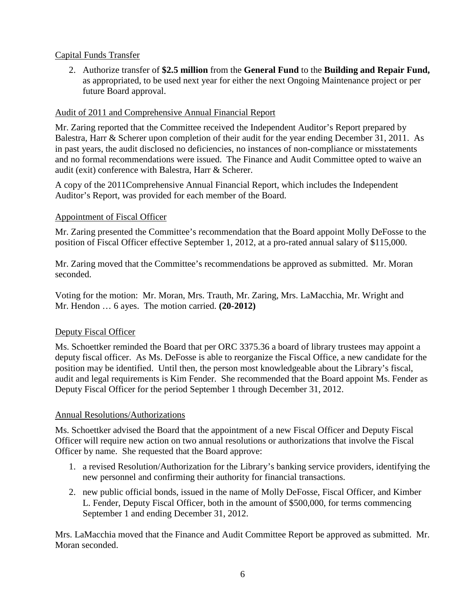# Capital Funds Transfer

2. Authorize transfer of **\$2.5 million** from the **General Fund** to the **Building and Repair Fund,**  as appropriated, to be used next year for either the next Ongoing Maintenance project or per future Board approval.

## Audit of 2011 and Comprehensive Annual Financial Report

Mr. Zaring reported that the Committee received the Independent Auditor's Report prepared by Balestra, Harr & Scherer upon completion of their audit for the year ending December 31, 2011. As in past years, the audit disclosed no deficiencies, no instances of non-compliance or misstatements and no formal recommendations were issued. The Finance and Audit Committee opted to waive an audit (exit) conference with Balestra, Harr & Scherer.

A copy of the 2011Comprehensive Annual Financial Report, which includes the Independent Auditor's Report, was provided for each member of the Board.

## Appointment of Fiscal Officer

Mr. Zaring presented the Committee's recommendation that the Board appoint Molly DeFosse to the position of Fiscal Officer effective September 1, 2012, at a pro-rated annual salary of \$115,000.

Mr. Zaring moved that the Committee's recommendations be approved as submitted. Mr. Moran seconded.

Voting for the motion: Mr. Moran, Mrs. Trauth, Mr. Zaring, Mrs. LaMacchia, Mr. Wright and Mr. Hendon … 6 ayes. The motion carried. **(20-2012)**

# Deputy Fiscal Officer

Ms. Schoettker reminded the Board that per ORC 3375.36 a board of library trustees may appoint a deputy fiscal officer. As Ms. DeFosse is able to reorganize the Fiscal Office, a new candidate for the position may be identified. Until then, the person most knowledgeable about the Library's fiscal, audit and legal requirements is Kim Fender. She recommended that the Board appoint Ms. Fender as Deputy Fiscal Officer for the period September 1 through December 31, 2012.

### Annual Resolutions/Authorizations

Ms. Schoettker advised the Board that the appointment of a new Fiscal Officer and Deputy Fiscal Officer will require new action on two annual resolutions or authorizations that involve the Fiscal Officer by name. She requested that the Board approve:

- 1. a revised Resolution/Authorization for the Library's banking service providers, identifying the new personnel and confirming their authority for financial transactions.
- 2. new public official bonds, issued in the name of Molly DeFosse, Fiscal Officer, and Kimber L. Fender, Deputy Fiscal Officer, both in the amount of \$500,000, for terms commencing September 1 and ending December 31, 2012.

Mrs. LaMacchia moved that the Finance and Audit Committee Report be approved as submitted. Mr. Moran seconded.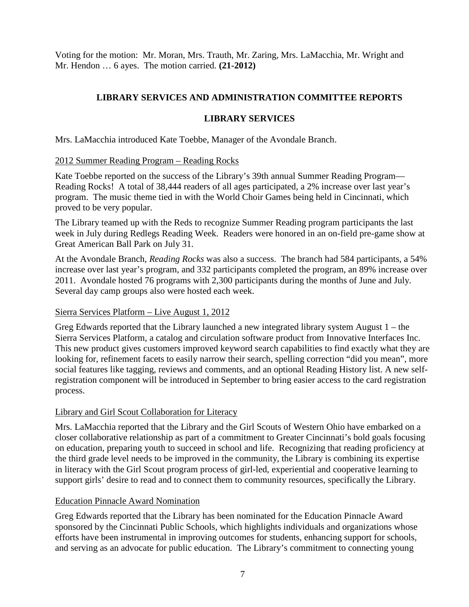Voting for the motion: Mr. Moran, Mrs. Trauth, Mr. Zaring, Mrs. LaMacchia, Mr. Wright and Mr. Hendon … 6 ayes. The motion carried. **(21-2012)**

# **LIBRARY SERVICES AND ADMINISTRATION COMMITTEE REPORTS**

# **LIBRARY SERVICES**

Mrs. LaMacchia introduced Kate Toebbe, Manager of the Avondale Branch.

# 2012 Summer Reading Program – Reading Rocks

Kate Toebbe reported on the success of the Library's 39th annual Summer Reading Program— Reading Rocks! A total of 38,444 readers of all ages participated, a 2% increase over last year's program. The music theme tied in with the World Choir Games being held in Cincinnati, which proved to be very popular.

The Library teamed up with the Reds to recognize Summer Reading program participants the last week in July during Redlegs Reading Week. Readers were honored in an on-field pre-game show at Great American Ball Park on July 31.

At the Avondale Branch, *Reading Rocks* was also a success. The branch had 584 participants, a 54% increase over last year's program, and 332 participants completed the program, an 89% increase over 2011. Avondale hosted 76 programs with 2,300 participants during the months of June and July. Several day camp groups also were hosted each week.

# Sierra Services Platform – Live August 1, 2012

Greg Edwards reported that the Library launched a new integrated library system August 1 – the Sierra Services Platform, a catalog and circulation software product from Innovative Interfaces Inc. This new product gives customers improved keyword search capabilities to find exactly what they are looking for, refinement facets to easily narrow their search, spelling correction "did you mean", more social features like tagging, reviews and comments, and an optional Reading History list. A new selfregistration component will be introduced in September to bring easier access to the card registration process.

# Library and Girl Scout Collaboration for Literacy

Mrs. LaMacchia reported that the Library and the Girl Scouts of Western Ohio have embarked on a closer collaborative relationship as part of a commitment to Greater Cincinnati's bold goals focusing on education, preparing youth to succeed in school and life. Recognizing that reading proficiency at the third grade level needs to be improved in the community, the Library is combining its expertise in literacy with the Girl Scout program process of girl-led, experiential and cooperative learning to support girls' desire to read and to connect them to community resources, specifically the Library.

# Education Pinnacle Award Nomination

Greg Edwards reported that the Library has been nominated for the Education Pinnacle Award sponsored by the Cincinnati Public Schools, which highlights individuals and organizations whose efforts have been instrumental in improving outcomes for students, enhancing support for schools, and serving as an advocate for public education. The Library's commitment to connecting young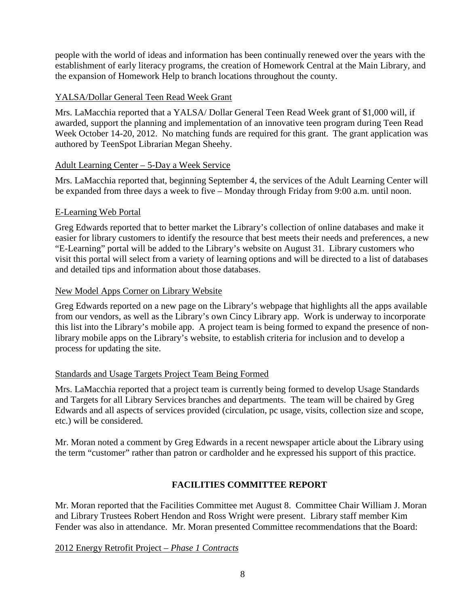people with the world of ideas and information has been continually renewed over the years with the establishment of early literacy programs, the creation of Homework Central at the Main Library, and the expansion of Homework Help to branch locations throughout the county.

# YALSA/Dollar General Teen Read Week Grant

Mrs. LaMacchia reported that a YALSA/ Dollar General Teen Read Week grant of \$1,000 will, if awarded, support the planning and implementation of an innovative teen program during Teen Read Week October 14-20, 2012. No matching funds are required for this grant. The grant application was authored by TeenSpot Librarian Megan Sheehy.

## Adult Learning Center – 5-Day a Week Service

Mrs. LaMacchia reported that, beginning September 4, the services of the Adult Learning Center will be expanded from three days a week to five – Monday through Friday from 9:00 a.m. until noon.

## E-Learning Web Portal

Greg Edwards reported that to better market the Library's collection of online databases and make it easier for library customers to identify the resource that best meets their needs and preferences, a new "E-Learning" portal will be added to the Library's website on August 31. Library customers who visit this portal will select from a variety of learning options and will be directed to a list of databases and detailed tips and information about those databases.

## New Model Apps Corner on Library Website

Greg Edwards reported on a new page on the Library's webpage that highlights all the apps available from our vendors, as well as the Library's own Cincy Library app. Work is underway to incorporate this list into the Library's mobile app. A project team is being formed to expand the presence of nonlibrary mobile apps on the Library's website, to establish criteria for inclusion and to develop a process for updating the site.

# Standards and Usage Targets Project Team Being Formed

Mrs. LaMacchia reported that a project team is currently being formed to develop Usage Standards and Targets for all Library Services branches and departments. The team will be chaired by Greg Edwards and all aspects of services provided (circulation, pc usage, visits, collection size and scope, etc.) will be considered.

Mr. Moran noted a comment by Greg Edwards in a recent newspaper article about the Library using the term "customer" rather than patron or cardholder and he expressed his support of this practice.

# **FACILITIES COMMITTEE REPORT**

Mr. Moran reported that the Facilities Committee met August 8. Committee Chair William J. Moran and Library Trustees Robert Hendon and Ross Wright were present. Library staff member Kim Fender was also in attendance. Mr. Moran presented Committee recommendations that the Board:

# 2012 Energy Retrofit Project – *Phase 1 Contracts*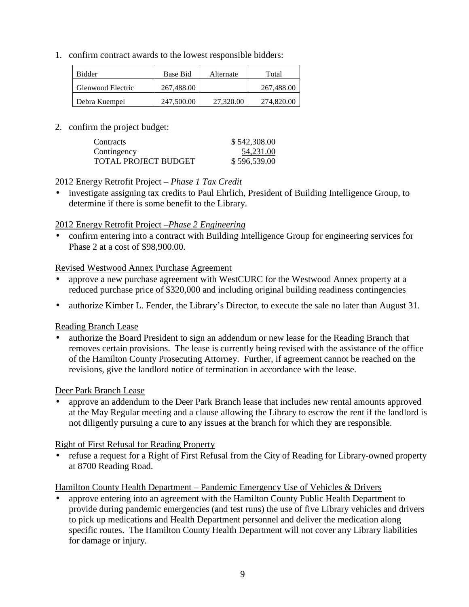1. confirm contract awards to the lowest responsible bidders:

| <b>Bidder</b>     | Base Bid   | Alternate | Total      |
|-------------------|------------|-----------|------------|
| Glenwood Electric | 267,488.00 |           | 267,488.00 |
| Debra Kuempel     | 247,500.00 | 27,320.00 | 274,820.00 |

2. confirm the project budget:

| <b>Contracts</b>     | \$542,308.00 |
|----------------------|--------------|
| Contingency          | 54,231.00    |
| TOTAL PROJECT BUDGET | \$596,539.00 |

### 2012 Energy Retrofit Project *– Phase 1 Tax Credit*

• investigate assigning tax credits to Paul Ehrlich, President of Building Intelligence Group, to determine if there is some benefit to the Library.

### 2012 Energy Retrofit Project *–Phase 2 Engineering*

• confirm entering into a contract with Building Intelligence Group for engineering services for Phase 2 at a cost of \$98,900.00.

#### Revised Westwood Annex Purchase Agreement

- approve a new purchase agreement with WestCURC for the Westwood Annex property at a reduced purchase price of \$320,000 and including original building readiness contingencies
- authorize Kimber L. Fender, the Library's Director, to execute the sale no later than August 31.

### Reading Branch Lease

• authorize the Board President to sign an addendum or new lease for the Reading Branch that removes certain provisions. The lease is currently being revised with the assistance of the office of the Hamilton County Prosecuting Attorney. Further, if agreement cannot be reached on the revisions, give the landlord notice of termination in accordance with the lease.

#### Deer Park Branch Lease

• approve an addendum to the Deer Park Branch lease that includes new rental amounts approved at the May Regular meeting and a clause allowing the Library to escrow the rent if the landlord is not diligently pursuing a cure to any issues at the branch for which they are responsible.

### Right of First Refusal for Reading Property

• refuse a request for a Right of First Refusal from the City of Reading for Library-owned property at 8700 Reading Road.

# Hamilton County Health Department – Pandemic Emergency Use of Vehicles & Drivers

• approve entering into an agreement with the Hamilton County Public Health Department to provide during pandemic emergencies (and test runs) the use of five Library vehicles and drivers to pick up medications and Health Department personnel and deliver the medication along specific routes. The Hamilton County Health Department will not cover any Library liabilities for damage or injury.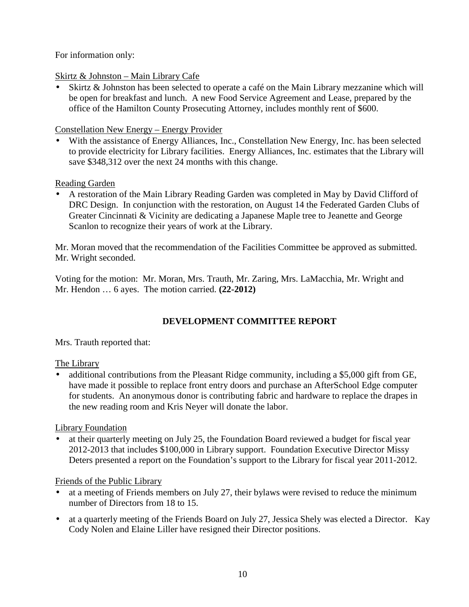For information only:

# Skirtz & Johnston – Main Library Cafe

Skirtz & Johnston has been selected to operate a café on the Main Library mezzanine which will be open for breakfast and lunch. A new Food Service Agreement and Lease, prepared by the office of the Hamilton County Prosecuting Attorney, includes monthly rent of \$600.

# Constellation New Energy – Energy Provider

• With the assistance of Energy Alliances, Inc., Constellation New Energy, Inc. has been selected to provide electricity for Library facilities. Energy Alliances, Inc. estimates that the Library will save \$348,312 over the next 24 months with this change.

# Reading Garden

• A restoration of the Main Library Reading Garden was completed in May by David Clifford of DRC Design. In conjunction with the restoration, on August 14 the Federated Garden Clubs of Greater Cincinnati & Vicinity are dedicating a Japanese Maple tree to Jeanette and George Scanlon to recognize their years of work at the Library.

Mr. Moran moved that the recommendation of the Facilities Committee be approved as submitted. Mr. Wright seconded.

Voting for the motion: Mr. Moran, Mrs. Trauth, Mr. Zaring, Mrs. LaMacchia, Mr. Wright and Mr. Hendon … 6 ayes. The motion carried. **(22-2012)**

# **DEVELOPMENT COMMITTEE REPORT**

Mrs. Trauth reported that:

# The Library

• additional contributions from the Pleasant Ridge community, including a \$5,000 gift from GE, have made it possible to replace front entry doors and purchase an AfterSchool Edge computer for students. An anonymous donor is contributing fabric and hardware to replace the drapes in the new reading room and Kris Neyer will donate the labor.

Library Foundation

• at their quarterly meeting on July 25, the Foundation Board reviewed a budget for fiscal year 2012-2013 that includes \$100,000 in Library support. Foundation Executive Director Missy Deters presented a report on the Foundation's support to the Library for fiscal year 2011-2012.

# Friends of the Public Library

- at a meeting of Friends members on July 27, their bylaws were revised to reduce the minimum number of Directors from 18 to 15.
- at a quarterly meeting of the Friends Board on July 27, Jessica Shely was elected a Director. Kay Cody Nolen and Elaine Liller have resigned their Director positions.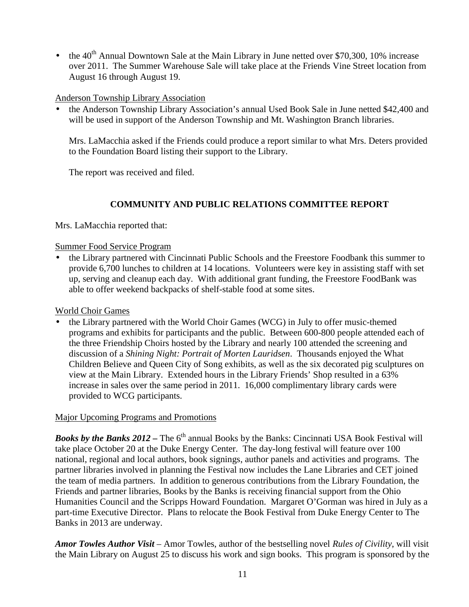• the  $40^{th}$  Annual Downtown Sale at the Main Library in June netted over \$70,300, 10% increase over 2011. The Summer Warehouse Sale will take place at the Friends Vine Street location from August 16 through August 19.

## Anderson Township Library Association

• the Anderson Township Library Association's annual Used Book Sale in June netted \$42,400 and will be used in support of the Anderson Township and Mt. Washington Branch libraries.

Mrs. LaMacchia asked if the Friends could produce a report similar to what Mrs. Deters provided to the Foundation Board listing their support to the Library.

The report was received and filed.

# **COMMUNITY AND PUBLIC RELATIONS COMMITTEE REPORT**

Mrs. LaMacchia reported that:

## Summer Food Service Program

• the Library partnered with Cincinnati Public Schools and the Freestore Foodbank this summer to provide 6,700 lunches to children at 14 locations. Volunteers were key in assisting staff with set up, serving and cleanup each day. With additional grant funding, the Freestore FoodBank was able to offer weekend backpacks of shelf-stable food at some sites.

World Choir Games

• the Library partnered with the World Choir Games (WCG) in July to offer music-themed programs and exhibits for participants and the public. Between 600-800 people attended each of the three Friendship Choirs hosted by the Library and nearly 100 attended the screening and discussion of a *Shining Night: Portrait of Morten Lauridsen*. Thousands enjoyed the What Children Believe and Queen City of Song exhibits, as well as the six decorated pig sculptures on view at the Main Library. Extended hours in the Library Friends' Shop resulted in a 63% increase in sales over the same period in 2011. 16,000 complimentary library cards were provided to WCG participants.

# Major Upcoming Programs and Promotions

**Books by the Banks 2012 – The 6<sup>th</sup> annual Books by the Banks: Cincinnati USA Book Festival will** take place October 20 at the Duke Energy Center. The day-long festival will feature over 100 national, regional and local authors, book signings, author panels and activities and programs. The partner libraries involved in planning the Festival now includes the Lane Libraries and CET joined the team of media partners. In addition to generous contributions from the Library Foundation, the Friends and partner libraries, Books by the Banks is receiving financial support from the Ohio Humanities Council and the Scripps Howard Foundation. Margaret O'Gorman was hired in July as a part-time Executive Director. Plans to relocate the Book Festival from Duke Energy Center to The Banks in 2013 are underway.

*Amor Towles Author Visit –* Amor Towles, author of the bestselling novel *Rules of Civility*, will visit the Main Library on August 25 to discuss his work and sign books. This program is sponsored by the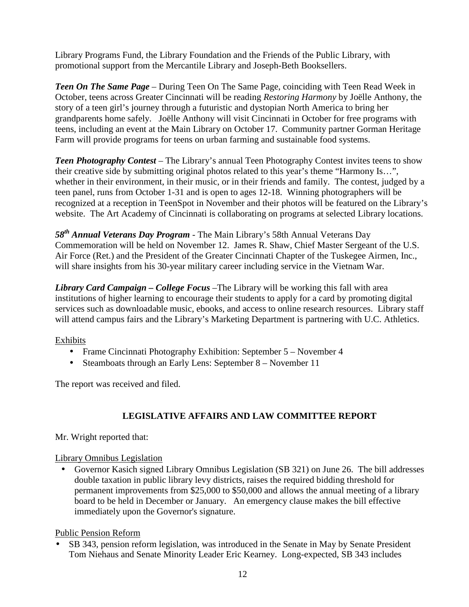Library Programs Fund, the Library Foundation and the Friends of the Public Library, with promotional support from the Mercantile Library and Joseph-Beth Booksellers.

*Teen On The Same Page –* During Teen On The Same Page, coinciding with Teen Read Week in October, teens across Greater Cincinnati will be reading *Restoring Harmony* by Joëlle Anthony, the story of a teen girl's journey through a futuristic and dystopian North America to bring her grandparents home safely. Joëlle Anthony will visit Cincinnati in October for free programs with teens, including an event at the Main Library on October 17. Community partner Gorman Heritage Farm will provide programs for teens on urban farming and sustainable food systems.

*Teen Photography Contest* – The Library's annual Teen Photography Contest invites teens to show their creative side by submitting original photos related to this year's theme "Harmony Is…", whether in their environment, in their music, or in their friends and family. The contest, judged by a teen panel, runs from October 1-31 and is open to ages 12-18. Winning photographers will be recognized at a reception in TeenSpot in November and their photos will be featured on the Library's website. The Art Academy of Cincinnati is collaborating on programs at selected Library locations.

*58th Annual Veterans Day Program -* The Main Library's 58th Annual Veterans Day Commemoration will be held on November 12. James R. Shaw, Chief Master Sergeant of the U.S. Air Force (Ret.) and the President of the Greater Cincinnati Chapter of the Tuskegee Airmen, Inc., will share insights from his 30-year military career including service in the Vietnam War.

*Library Card Campaign – College Focus –*The Library will be working this fall with area institutions of higher learning to encourage their students to apply for a card by promoting digital services such as downloadable music, ebooks, and access to online research resources. Library staff will attend campus fairs and the Library's Marketing Department is partnering with U.C. Athletics.

Exhibits

- Frame Cincinnati Photography Exhibition: September 5 November 4
- Steamboats through an Early Lens: September 8 November 11

The report was received and filed.

# **LEGISLATIVE AFFAIRS AND LAW COMMITTEE REPORT**

Mr. Wright reported that:

# Library Omnibus Legislation

• Governor Kasich signed Library Omnibus Legislation (SB 321) on June 26. The bill addresses double taxation in public library levy districts, raises the required bidding threshold for permanent improvements from \$25,000 to \$50,000 and allows the annual meeting of a library board to be held in December or January. An emergency clause makes the bill effective immediately upon the Governor's signature.

Public Pension Reform

SB 343, pension reform legislation, was introduced in the Senate in May by Senate President Tom Niehaus and Senate Minority Leader Eric Kearney. Long-expected, SB 343 includes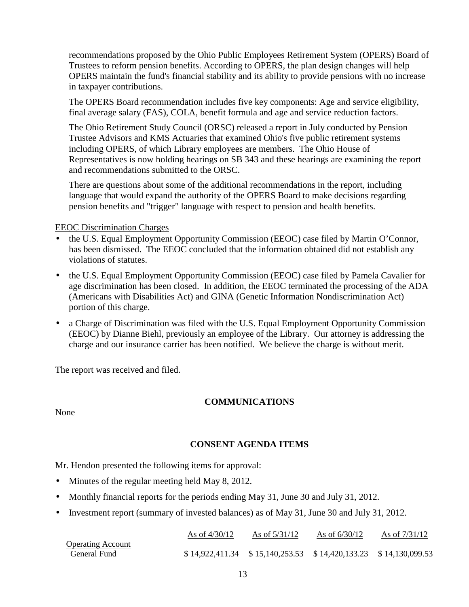recommendations proposed by the Ohio Public Employees Retirement System (OPERS) Board of Trustees to reform pension benefits. According to OPERS, the plan design changes will help OPERS maintain the fund's financial stability and its ability to provide pensions with no increase in taxpayer contributions.

The OPERS Board recommendation includes five key components: Age and service eligibility, final average salary (FAS), COLA, benefit formula and age and service reduction factors.

The Ohio Retirement Study Council (ORSC) released a report in July conducted by Pension Trustee Advisors and KMS Actuaries that examined Ohio's five public retirement systems including OPERS, of which Library employees are members. The Ohio House of Representatives is now holding hearings on SB 343 and these hearings are examining the report and recommendations submitted to the ORSC.

There are questions about some of the additional recommendations in the report, including language that would expand the authority of the OPERS Board to make decisions regarding pension benefits and "trigger" language with respect to pension and health benefits.

### EEOC Discrimination Charges

- the U.S. Equal Employment Opportunity Commission (EEOC) case filed by Martin O'Connor, has been dismissed. The EEOC concluded that the information obtained did not establish any violations of statutes.
- the U.S. Equal Employment Opportunity Commission (EEOC) case filed by Pamela Cavalier for age discrimination has been closed. In addition, the EEOC terminated the processing of the ADA (Americans with Disabilities Act) and GINA (Genetic Information Nondiscrimination Act) portion of this charge.
- a Charge of Discrimination was filed with the U.S. Equal Employment Opportunity Commission (EEOC) by Dianne Biehl, previously an employee of the Library. Our attorney is addressing the charge and our insurance carrier has been notified. We believe the charge is without merit.

The report was received and filed.

# **COMMUNICATIONS**

None

# **CONSENT AGENDA ITEMS**

Mr. Hendon presented the following items for approval:

- Minutes of the regular meeting held May 8, 2012.
- Monthly financial reports for the periods ending May 31, June 30 and July 31, 2012.
- Investment report (summary of invested balances) as of May 31, June 30 and July 31, 2012.

|                          | As of $4/30/12$ | As of $5/31/12$                                                     | As of $6/30/12$ | As of $7/31/12$ |
|--------------------------|-----------------|---------------------------------------------------------------------|-----------------|-----------------|
| <b>Operating Account</b> |                 |                                                                     |                 |                 |
| General Fund             |                 | $$14,922,411.34$ $$15,140,253.53$ $$14,420,133.23$ $$14,130,099.53$ |                 |                 |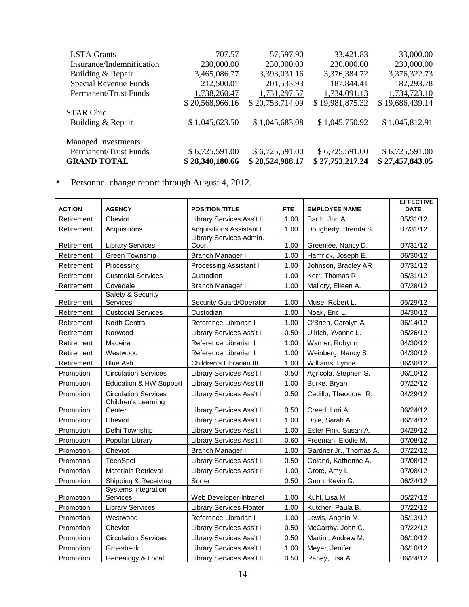| <b>LSTA Grants</b>         | 707.57          | 57,597.90       | 33,421.83       | 33,000.00       |
|----------------------------|-----------------|-----------------|-----------------|-----------------|
| Insurance/Indemnification  | 230,000.00      | 230,000.00      | 230,000.00      | 230,000.00      |
| Building & Repair          | 3,465,086.77    | 3,393,031.16    | 3,376,384.72    | 3,376,322.73    |
| Special Revenue Funds      | 212,500.01      | 201,533.93      | 187,844.41      | 182,293.78      |
| Permanent/Trust Funds      | 1,738,260.47    | 1,731,297.57    | 1,734,091.13    | 1,734,723.10    |
|                            | \$20,568,966.16 | \$20,753,714.09 | \$19,981,875.32 | \$19,686,439.14 |
| <b>STAR Ohio</b>           |                 |                 |                 |                 |
| Building & Repair          | \$1,045,623.50  | \$1,045,683.08  | \$1,045,750.92  | \$1,045,812.91  |
| <b>Managed Investments</b> |                 |                 |                 |                 |
| Permanent/Trust Funds      | \$6,725,591.00  | \$6,725,591.00  | \$6,725,591.00  | \$6,725,591.00  |
| <b>GRAND TOTAL</b>         | \$28,340,180.66 | \$28,524,988.17 | \$27,753,217.24 | \$27,457,843.05 |

• Personnel change report through August 4, 2012.

| <b>ACTION</b> | <b>AGENCY</b>                          | <b>POSITION TITLE</b>            | <b>FTE</b> | <b>EMPLOYEE NAME</b>   | <b>EFFECTIVE</b><br><b>DATE</b> |
|---------------|----------------------------------------|----------------------------------|------------|------------------------|---------------------------------|
| Retirement    | Cheviot                                | Library Services Ass't II        | 1.00       | Barth, Jon A           | 05/31/12                        |
| Retirement    | Acquisitions                           | <b>Acquisitions Assistant I</b>  | 1.00       | Dougherty, Brenda S.   | 07/31/12                        |
|               |                                        | Library Services Admin.          |            |                        |                                 |
| Retirement    | <b>Library Services</b>                | Coor.                            | 1.00       | Greenlee, Nancy D.     | 07/31/12                        |
| Retirement    | Green Township                         | <b>Branch Manager III</b>        | 1.00       | Hamrick, Joseph E.     | 06/30/12                        |
| Retirement    | Processing                             | <b>Processing Assistant I</b>    | 1.00       | Johnson, Bradley AR    | 07/31/12                        |
| Retirement    | <b>Custodial Services</b>              | Custodian                        | 1.00       | Kerr, Thomas R.        | 05/31/12                        |
| Retirement    | Covedale                               | <b>Branch Manager II</b>         | 1.00       | Mallory, Eileen A.     | 07/28/12                        |
| Retirement    | Safety & Security<br><b>Services</b>   | Security Guard/Operator          | 1.00       | Muse, Robert L.        | 05/29/12                        |
| Retirement    | <b>Custodial Services</b>              | Custodian                        | 1.00       | Noak, Eric L.          | 04/30/12                        |
| Retirement    | North Central                          | Reference Librarian I            | 1.00       | O'Brien, Carolyn A.    | 06/14/12                        |
| Retirement    | Norwood                                | Library Services Ass't I         | 0.50       | Ullrich, Yvonne L.     | 05/26/12                        |
| Retirement    | Madeira                                | Reference Librarian I            | 1.00       | Warner, Robynn         | 04/30/12                        |
| Retirement    | Westwood                               | Reference Librarian I            | 1.00       | Weinberg, Nancy S.     | 04/30/12                        |
| Retirement    | <b>Blue Ash</b>                        | Children's Librarian III         | 1.00       | Williams, Lynne        | 06/30/12                        |
| Promotion     | <b>Circulation Services</b>            | Library Services Ass't I         | 0.50       | Agricola, Stephen S.   | 06/10/12                        |
| Promotion     | Education & HW Support                 | Library Services Ass't II        | 1.00       | Burke, Bryan           | 07/22/12                        |
| Promotion     | <b>Circulation Services</b>            | Library Services Ass't I         | 0.50       | Cedillo, Theodore R.   | 04/29/12                        |
| Promotion     | Children's Learning<br>Center          | Library Services Ass't II        | 0.50       | Creed, Lori A.         | 06/24/12                        |
| Promotion     | Cheviot                                | Library Services Ass't I         | 1.00       | Dole, Sarah A.         | 06/24/12                        |
| Promotion     | Delhi Township                         | Library Services Ass't I         | 1.00       | Ester-Fink, Susan A.   | 04/29/12                        |
| Promotion     | Popular Library                        | Library Services Ass't II        | 0.60       | Freeman, Elodie M.     | 07/08/12                        |
| Promotion     | Cheviot                                | <b>Branch Manager II</b>         | 1.00       | Gardner Jr., Thomas A. | 07/22/12                        |
| Promotion     | TeenSpot                               | Library Services Ass't II        | 0.50       | Goland, Katherine A.   | 07/08/12                        |
| Promotion     | <b>Materials Retrieval</b>             | Library Services Ass't II        | 1.00       | Grote, Amy L.          | 07/08/12                        |
| Promotion     | Shipping & Receiving                   | Sorter                           | 0.50       | Gunn, Kevin G.         | 06/24/12                        |
| Promotion     | Systems Integration<br><b>Services</b> | Web Developer-Intranet           | 1.00       | Kuhl, Lisa M.          | 05/27/12                        |
| Promotion     | <b>Library Services</b>                | <b>Library Services Floater</b>  | 1.00       | Kutcher, Paula B.      | 07/22/12                        |
| Promotion     | Westwood                               | Reference Librarian I            | 1.00       | Lewis, Angela M.       | 05/13/12                        |
| Promotion     | Cheviot                                | Library Services Ass't I         | 0.50       | McCarthy, John C.      | 07/22/12                        |
| Promotion     | <b>Circulation Services</b>            | Library Services Ass't I         | 0.50       | Martini, Andrew M.     | 06/10/12                        |
| Promotion     | Groesbeck                              | Library Services Ass't I         | 1.00       | Meyer, Jenifer         | 06/10/12                        |
| Promotion     | Genealogy & Local                      | <b>Library Services Ass't II</b> | 0.50       | Raney, Lisa A.         | 06/24/12                        |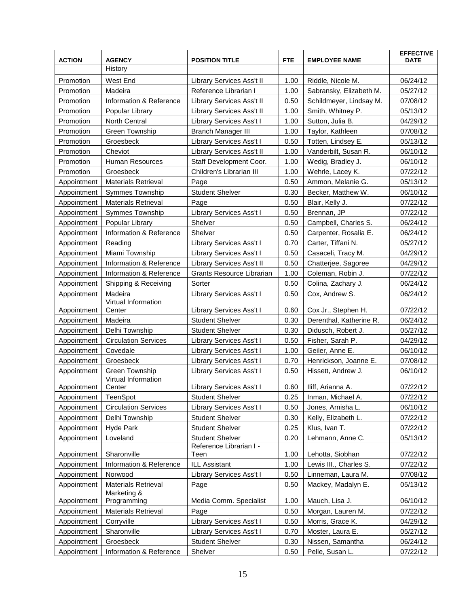| <b>ACTION</b> | <b>AGENCY</b>                 | <b>POSITION TITLE</b>           | <b>FTE</b> | <b>EMPLOYEE NAME</b>    | <b>EFFECTIVE</b><br><b>DATE</b> |
|---------------|-------------------------------|---------------------------------|------------|-------------------------|---------------------------------|
|               | History                       |                                 |            |                         |                                 |
| Promotion     | West End                      | Library Services Ass't II       | 1.00       | Riddle, Nicole M.       | 06/24/12                        |
| Promotion     | Madeira                       | Reference Librarian I           | 1.00       | Sabransky, Elizabeth M. | 05/27/12                        |
| Promotion     | Information & Reference       | Library Services Ass't II       | 0.50       | Schildmeyer, Lindsay M. | 07/08/12                        |
| Promotion     | Popular Library               | Library Services Ass't II       | 1.00       | Smith, Whitney P.       | 05/13/12                        |
| Promotion     | <b>North Central</b>          | Library Services Ass't I        | 1.00       | Sutton, Julia B.        | 04/29/12                        |
| Promotion     | Green Township                | <b>Branch Manager III</b>       | 1.00       | Taylor, Kathleen        | 07/08/12                        |
| Promotion     | Groesbeck                     | <b>Library Services Ass't I</b> | 0.50       | Totten, Lindsey E.      | 05/13/12                        |
| Promotion     | Cheviot                       | Library Services Ass't II       | 1.00       | Vanderbilt, Susan R.    | 06/10/12                        |
| Promotion     | Human Resources               | Staff Development Coor.         | 1.00       | Wedig, Bradley J.       | 06/10/12                        |
| Promotion     | Groesbeck                     | Children's Librarian III        | 1.00       | Wehrle, Lacey K.        | 07/22/12                        |
| Appointment   | <b>Materials Retrieval</b>    | Page                            | 0.50       | Ammon, Melanie G.       | 05/13/12                        |
| Appointment   | Symmes Township               | <b>Student Shelver</b>          | 0.30       | Becker, Matthew W.      | 06/10/12                        |
| Appointment   | <b>Materials Retrieval</b>    | Page                            | 0.50       | Blair, Kelly J.         | 07/22/12                        |
| Appointment   | Symmes Township               | Library Services Ass't I        | 0.50       | Brennan, JP             | 07/22/12                        |
| Appointment   | Popular Library               | Shelver                         | 0.50       | Campbell, Charles S.    | 06/24/12                        |
| Appointment   | Information & Reference       | Shelver                         | 0.50       | Carpenter, Rosalia E.   | 06/24/12                        |
| Appointment   | Reading                       | Library Services Ass't I        | 0.70       | Carter, Tiffani N.      | 05/27/12                        |
| Appointment   | Miami Township                | Library Services Ass't I        | 0.50       | Casaceli, Tracy M.      | 04/29/12                        |
| Appointment   | Information & Reference       | Library Services Ass't II       | 0.50       | Chatterjee, Sagoree     | 04/29/12                        |
| Appointment   | Information & Reference       | Grants Resource Librarian       | 1.00       | Coleman, Robin J.       | 07/22/12                        |
| Appointment   | Shipping & Receiving          | Sorter                          | 0.50       | Colina, Zachary J.      | 06/24/12                        |
| Appointment   | Madeira                       | Library Services Ass't I        | 0.50       | Cox, Andrew S.          | 06/24/12                        |
| Appointment   | Virtual Information<br>Center | Library Services Ass't I        | 0.60       | Cox Jr., Stephen H.     | 07/22/12                        |
| Appointment   | Madeira                       | <b>Student Shelver</b>          | 0.30       | Derenthal, Katherine R. | 06/24/12                        |
| Appointment   | Delhi Township                | <b>Student Shelver</b>          | 0.30       | Didusch, Robert J.      | 05/27/12                        |
| Appointment   | <b>Circulation Services</b>   | Library Services Ass't I        | 0.50       | Fisher, Sarah P.        | 04/29/12                        |
| Appointment   | Covedale                      | Library Services Ass't I        | 1.00       | Geiler, Anne E.         | 06/10/12                        |
| Appointment   | Groesbeck                     | Library Services Ass't I        | 0.70       | Henrickson, Joanne E.   | 07/08/12                        |
| Appointment   | <b>Green Township</b>         | Library Services Ass't I        | 0.50       | Hissett, Andrew J.      | 06/10/12                        |
| Appointment   | Virtual Information<br>Center | Library Services Ass't I        | 0.60       | Iliff, Arianna A.       | 07/22/12                        |
| Appointment   | <b>TeenSpot</b>               | <b>Student Shelver</b>          | 0.25       | Inman, Michael A.       | 07/22/12                        |
| Appointment   | <b>Circulation Services</b>   | Library Services Ass't I        | 0.50       | Jones, Arnisha L.       | 06/10/12                        |
| Appointment   | Delhi Township                | <b>Student Shelver</b>          | 0.30       | Kelly, Elizabeth L.     | 07/22/12                        |
| Appointment   | Hyde Park                     | <b>Student Shelver</b>          | 0.25       | Klus, Ivan T.           | 07/22/12                        |
| Appointment   | Loveland                      | <b>Student Shelver</b>          | 0.20       | Lehmann, Anne C.        | 05/13/12                        |
|               |                               | Reference Librarian I -         |            |                         |                                 |
| Appointment   | Sharonville                   | Teen                            | 1.00       | Lehotta, Siobhan        | 07/22/12                        |
| Appointment   | Information & Reference       | <b>ILL Assistant</b>            | 1.00       | Lewis III., Charles S.  | 07/22/12                        |
| Appointment   | Norwood                       | Library Services Ass't I        | 0.50       | Linneman, Laura M.      | 07/08/12                        |
| Appointment   | <b>Materials Retrieval</b>    | Page                            | 0.50       | Mackey, Madalyn E.      | 05/13/12                        |
| Appointment   | Marketing &<br>Programming    | Media Comm. Specialist          | 1.00       | Mauch, Lisa J.          | 06/10/12                        |
| Appointment   | <b>Materials Retrieval</b>    | Page                            | 0.50       | Morgan, Lauren M.       | 07/22/12                        |
| Appointment   | Corryville                    | Library Services Ass't I        | 0.50       | Morris, Grace K.        | 04/29/12                        |
| Appointment   | Sharonville                   | Library Services Ass't I        | 0.70       | Moster, Laura E.        | 05/27/12                        |
| Appointment   | Groesbeck                     | <b>Student Shelver</b>          | 0.30       | Nissen, Samantha        | 06/24/12                        |
| Appointment   | Information & Reference       | Shelver                         | 0.50       | Pelle, Susan L.         | 07/22/12                        |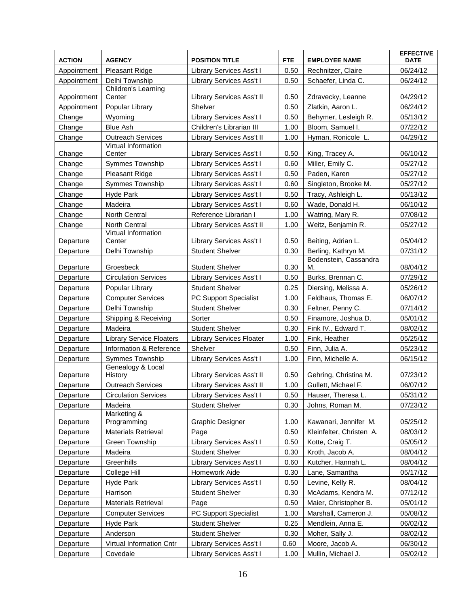| <b>Pleasant Ridge</b><br>Library Services Ass't I<br>0.50<br>Rechnitzer, Claire<br>06/24/12<br>Appointment<br>Delhi Township<br>0.50<br>Library Services Ass't I<br>Schaefer, Linda C.<br>06/24/12<br>Appointment<br>Children's Learning<br>0.50<br>Appointment<br>Center<br>Library Services Ass't II<br>Zdravecky, Leanne<br>04/29/12<br>Popular Library<br>Shelver<br>0.50<br>Zlatkin, Aaron L.<br>06/24/12<br>Appointment<br>05/13/12<br>Wyoming<br>Library Services Ass't I<br>0.50<br>Behymer, Lesleigh R.<br>Change<br><b>Blue Ash</b><br>Children's Librarian III<br>1.00<br>Bloom, Samuel I.<br>07/22/12<br>Change<br><b>Outreach Services</b><br>Library Services Ass't II<br>1.00<br>Hyman, Ronicole L.<br>04/29/12<br>Change<br>Virtual Information<br>0.50<br>06/10/12<br>Change<br>Center<br>Library Services Ass't I<br>King, Tracey A.<br>Symmes Township<br>Library Services Ass't I<br>0.60<br>Miller, Emily C.<br>05/27/12<br>Change<br>Paden, Karen<br>Change<br>Pleasant Ridge<br>Library Services Ass't I<br>0.50<br>05/27/12<br>Symmes Township<br>Library Services Ass't I<br>0.60<br>Singleton, Brooke M.<br>05/27/12<br>Change<br>Hyde Park<br>Library Services Ass't I<br>0.50<br>Tracy, Ashleigh L.<br>05/13/12<br>Change<br>Library Services Ass't I<br>0.60<br>Wade, Donald H.<br>06/10/12<br>Change<br>Madeira<br>Reference Librarian I<br>1.00<br>Watring, Mary R.<br>07/08/12<br>Change<br><b>North Central</b><br>North Central<br>Library Services Ass't II<br>1.00<br>Weitz, Benjamin R.<br>05/27/12<br>Change<br>Virtual Information<br>Library Services Ass't I<br>0.50<br>Beiting, Adrian L.<br>05/04/12<br>Departure<br>Center<br>0.30<br>Berling, Kathryn M.<br>Delhi Township<br><b>Student Shelver</b><br>07/31/12<br>Departure<br>Bodenstein, Cassandra<br><b>Student Shelver</b><br>0.30<br>08/04/12<br>Departure<br>Groesbeck<br>М.<br>Library Services Ass't I<br>Burks, Brennan C.<br><b>Circulation Services</b><br>0.50<br>07/29/12<br>Departure<br><b>Student Shelver</b><br>0.25<br>Diersing, Melissa A.<br>05/26/12<br>Departure<br>Popular Library<br><b>Computer Services</b><br>PC Support Specialist<br>1.00<br>Feldhaus, Thomas E.<br>06/07/12<br>Departure<br>Delhi Township<br><b>Student Shelver</b><br>0.30<br>Feltner, Penny C.<br>07/14/12<br>Departure<br>Finamore, Joshua D.<br>Shipping & Receiving<br>Sorter<br>0.50<br>05/01/12<br>Departure<br><b>Student Shelver</b><br>0.30<br>Fink IV., Edward T.<br>08/02/12<br>Madeira<br>Departure<br><b>Library Services Floater</b><br>1.00<br>05/25/12<br>Departure<br><b>Library Service Floaters</b><br>Fink, Heather<br>Information & Reference<br>Shelver<br>0.50<br>Finn, Julia A.<br>05/23/12<br>Departure<br>Symmes Township<br>Library Services Ass't I<br>1.00<br>Finn, Michelle A.<br>06/15/12<br>Departure<br>Genealogy & Local<br>0.50<br>Gehring, Christina M.<br>07/23/12<br>Departure<br>History<br>Library Services Ass't II<br>1.00<br><b>Outreach Services</b><br>Library Services Ass't II<br>Gullett, Michael F.<br>06/07/12<br>Departure<br>Departure<br><b>Circulation Services</b><br>Library Services Ass't I<br>0.50<br>Hauser, Theresa L.<br>05/31/12<br>07/23/12<br>Madeira<br><b>Student Shelver</b><br>0.30<br>Johns, Roman M.<br>Departure<br>Marketing &<br>1.00<br>Kawanari, Jennifer M.<br>05/25/12<br>Programming<br><b>Graphic Designer</b><br>Departure<br><b>Materials Retrieval</b><br>Kleinfelter, Christen A.<br>08/03/12<br>Page<br>0.50<br>Departure<br>05/05/12<br>Green Township<br>Library Services Ass't I<br>0.50<br>Kotte, Craig T.<br>Departure<br>Madeira<br><b>Student Shelver</b><br>0.30<br>Kroth, Jacob A.<br>08/04/12<br>Departure<br>Greenhills<br>Library Services Ass't I<br>0.60<br>Kutcher, Hannah L.<br>08/04/12<br>Departure<br>0.30<br>College Hill<br>Homework Aide<br>Lane, Samantha<br>05/17/12<br>Departure<br>Hyde Park<br>Library Services Ass't I<br>0.50<br>Levine, Kelly R.<br>08/04/12<br>Departure<br>07/12/12<br>Harrison<br><b>Student Shelver</b><br>0.30<br>McAdams, Kendra M.<br>Departure<br><b>Materials Retrieval</b><br>0.50<br>05/01/12<br>Page<br>Maier, Christopher B.<br>Departure<br>PC Support Specialist<br><b>Computer Services</b><br>1.00<br>Marshall, Cameron J.<br>05/08/12<br>Departure<br>0.25<br>Mendlein, Anna E.<br>Hyde Park<br><b>Student Shelver</b><br>06/02/12<br>Departure<br><b>Student Shelver</b><br>Anderson<br>0.30<br>Moher, Sally J.<br>08/02/12<br>Departure<br>Library Services Ass't I<br>Moore, Jacob A.<br>06/30/12<br>Virtual Information Cntr<br>0.60<br>Departure | <b>ACTION</b> | <b>AGENCY</b> | <b>POSITION TITLE</b>    | <b>FTE</b> | <b>EMPLOYEE NAME</b> | <b>EFFECTIVE</b><br><b>DATE</b> |
|-----------------------------------------------------------------------------------------------------------------------------------------------------------------------------------------------------------------------------------------------------------------------------------------------------------------------------------------------------------------------------------------------------------------------------------------------------------------------------------------------------------------------------------------------------------------------------------------------------------------------------------------------------------------------------------------------------------------------------------------------------------------------------------------------------------------------------------------------------------------------------------------------------------------------------------------------------------------------------------------------------------------------------------------------------------------------------------------------------------------------------------------------------------------------------------------------------------------------------------------------------------------------------------------------------------------------------------------------------------------------------------------------------------------------------------------------------------------------------------------------------------------------------------------------------------------------------------------------------------------------------------------------------------------------------------------------------------------------------------------------------------------------------------------------------------------------------------------------------------------------------------------------------------------------------------------------------------------------------------------------------------------------------------------------------------------------------------------------------------------------------------------------------------------------------------------------------------------------------------------------------------------------------------------------------------------------------------------------------------------------------------------------------------------------------------------------------------------------------------------------------------------------------------------------------------------------------------------------------------------------------------------------------------------------------------------------------------------------------------------------------------------------------------------------------------------------------------------------------------------------------------------------------------------------------------------------------------------------------------------------------------------------------------------------------------------------------------------------------------------------------------------------------------------------------------------------------------------------------------------------------------------------------------------------------------------------------------------------------------------------------------------------------------------------------------------------------------------------------------------------------------------------------------------------------------------------------------------------------------------------------------------------------------------------------------------------------------------------------------------------------------------------------------------------------------------------------------------------------------------------------------------------------------------------------------------------------------------------------------------------------------------------------------------------------------------------------------------------------------------------------------------------------------------------------------------------------------------------------------------------------------------------------------------------------------------------------------------------------------------------------------------------------------------------------------------------------------------------------------------------------------------------------------------------------------------------------------------------------------|---------------|---------------|--------------------------|------------|----------------------|---------------------------------|
|                                                                                                                                                                                                                                                                                                                                                                                                                                                                                                                                                                                                                                                                                                                                                                                                                                                                                                                                                                                                                                                                                                                                                                                                                                                                                                                                                                                                                                                                                                                                                                                                                                                                                                                                                                                                                                                                                                                                                                                                                                                                                                                                                                                                                                                                                                                                                                                                                                                                                                                                                                                                                                                                                                                                                                                                                                                                                                                                                                                                                                                                                                                                                                                                                                                                                                                                                                                                                                                                                                                                                                                                                                                                                                                                                                                                                                                                                                                                                                                                                                                                                                                                                                                                                                                                                                                                                                                                                                                                                                                                                                                                           |               |               |                          |            |                      |                                 |
|                                                                                                                                                                                                                                                                                                                                                                                                                                                                                                                                                                                                                                                                                                                                                                                                                                                                                                                                                                                                                                                                                                                                                                                                                                                                                                                                                                                                                                                                                                                                                                                                                                                                                                                                                                                                                                                                                                                                                                                                                                                                                                                                                                                                                                                                                                                                                                                                                                                                                                                                                                                                                                                                                                                                                                                                                                                                                                                                                                                                                                                                                                                                                                                                                                                                                                                                                                                                                                                                                                                                                                                                                                                                                                                                                                                                                                                                                                                                                                                                                                                                                                                                                                                                                                                                                                                                                                                                                                                                                                                                                                                                           |               |               |                          |            |                      |                                 |
|                                                                                                                                                                                                                                                                                                                                                                                                                                                                                                                                                                                                                                                                                                                                                                                                                                                                                                                                                                                                                                                                                                                                                                                                                                                                                                                                                                                                                                                                                                                                                                                                                                                                                                                                                                                                                                                                                                                                                                                                                                                                                                                                                                                                                                                                                                                                                                                                                                                                                                                                                                                                                                                                                                                                                                                                                                                                                                                                                                                                                                                                                                                                                                                                                                                                                                                                                                                                                                                                                                                                                                                                                                                                                                                                                                                                                                                                                                                                                                                                                                                                                                                                                                                                                                                                                                                                                                                                                                                                                                                                                                                                           |               |               |                          |            |                      |                                 |
|                                                                                                                                                                                                                                                                                                                                                                                                                                                                                                                                                                                                                                                                                                                                                                                                                                                                                                                                                                                                                                                                                                                                                                                                                                                                                                                                                                                                                                                                                                                                                                                                                                                                                                                                                                                                                                                                                                                                                                                                                                                                                                                                                                                                                                                                                                                                                                                                                                                                                                                                                                                                                                                                                                                                                                                                                                                                                                                                                                                                                                                                                                                                                                                                                                                                                                                                                                                                                                                                                                                                                                                                                                                                                                                                                                                                                                                                                                                                                                                                                                                                                                                                                                                                                                                                                                                                                                                                                                                                                                                                                                                                           |               |               |                          |            |                      |                                 |
|                                                                                                                                                                                                                                                                                                                                                                                                                                                                                                                                                                                                                                                                                                                                                                                                                                                                                                                                                                                                                                                                                                                                                                                                                                                                                                                                                                                                                                                                                                                                                                                                                                                                                                                                                                                                                                                                                                                                                                                                                                                                                                                                                                                                                                                                                                                                                                                                                                                                                                                                                                                                                                                                                                                                                                                                                                                                                                                                                                                                                                                                                                                                                                                                                                                                                                                                                                                                                                                                                                                                                                                                                                                                                                                                                                                                                                                                                                                                                                                                                                                                                                                                                                                                                                                                                                                                                                                                                                                                                                                                                                                                           |               |               |                          |            |                      |                                 |
|                                                                                                                                                                                                                                                                                                                                                                                                                                                                                                                                                                                                                                                                                                                                                                                                                                                                                                                                                                                                                                                                                                                                                                                                                                                                                                                                                                                                                                                                                                                                                                                                                                                                                                                                                                                                                                                                                                                                                                                                                                                                                                                                                                                                                                                                                                                                                                                                                                                                                                                                                                                                                                                                                                                                                                                                                                                                                                                                                                                                                                                                                                                                                                                                                                                                                                                                                                                                                                                                                                                                                                                                                                                                                                                                                                                                                                                                                                                                                                                                                                                                                                                                                                                                                                                                                                                                                                                                                                                                                                                                                                                                           |               |               |                          |            |                      |                                 |
|                                                                                                                                                                                                                                                                                                                                                                                                                                                                                                                                                                                                                                                                                                                                                                                                                                                                                                                                                                                                                                                                                                                                                                                                                                                                                                                                                                                                                                                                                                                                                                                                                                                                                                                                                                                                                                                                                                                                                                                                                                                                                                                                                                                                                                                                                                                                                                                                                                                                                                                                                                                                                                                                                                                                                                                                                                                                                                                                                                                                                                                                                                                                                                                                                                                                                                                                                                                                                                                                                                                                                                                                                                                                                                                                                                                                                                                                                                                                                                                                                                                                                                                                                                                                                                                                                                                                                                                                                                                                                                                                                                                                           |               |               |                          |            |                      |                                 |
|                                                                                                                                                                                                                                                                                                                                                                                                                                                                                                                                                                                                                                                                                                                                                                                                                                                                                                                                                                                                                                                                                                                                                                                                                                                                                                                                                                                                                                                                                                                                                                                                                                                                                                                                                                                                                                                                                                                                                                                                                                                                                                                                                                                                                                                                                                                                                                                                                                                                                                                                                                                                                                                                                                                                                                                                                                                                                                                                                                                                                                                                                                                                                                                                                                                                                                                                                                                                                                                                                                                                                                                                                                                                                                                                                                                                                                                                                                                                                                                                                                                                                                                                                                                                                                                                                                                                                                                                                                                                                                                                                                                                           |               |               |                          |            |                      |                                 |
|                                                                                                                                                                                                                                                                                                                                                                                                                                                                                                                                                                                                                                                                                                                                                                                                                                                                                                                                                                                                                                                                                                                                                                                                                                                                                                                                                                                                                                                                                                                                                                                                                                                                                                                                                                                                                                                                                                                                                                                                                                                                                                                                                                                                                                                                                                                                                                                                                                                                                                                                                                                                                                                                                                                                                                                                                                                                                                                                                                                                                                                                                                                                                                                                                                                                                                                                                                                                                                                                                                                                                                                                                                                                                                                                                                                                                                                                                                                                                                                                                                                                                                                                                                                                                                                                                                                                                                                                                                                                                                                                                                                                           |               |               |                          |            |                      |                                 |
|                                                                                                                                                                                                                                                                                                                                                                                                                                                                                                                                                                                                                                                                                                                                                                                                                                                                                                                                                                                                                                                                                                                                                                                                                                                                                                                                                                                                                                                                                                                                                                                                                                                                                                                                                                                                                                                                                                                                                                                                                                                                                                                                                                                                                                                                                                                                                                                                                                                                                                                                                                                                                                                                                                                                                                                                                                                                                                                                                                                                                                                                                                                                                                                                                                                                                                                                                                                                                                                                                                                                                                                                                                                                                                                                                                                                                                                                                                                                                                                                                                                                                                                                                                                                                                                                                                                                                                                                                                                                                                                                                                                                           |               |               |                          |            |                      |                                 |
|                                                                                                                                                                                                                                                                                                                                                                                                                                                                                                                                                                                                                                                                                                                                                                                                                                                                                                                                                                                                                                                                                                                                                                                                                                                                                                                                                                                                                                                                                                                                                                                                                                                                                                                                                                                                                                                                                                                                                                                                                                                                                                                                                                                                                                                                                                                                                                                                                                                                                                                                                                                                                                                                                                                                                                                                                                                                                                                                                                                                                                                                                                                                                                                                                                                                                                                                                                                                                                                                                                                                                                                                                                                                                                                                                                                                                                                                                                                                                                                                                                                                                                                                                                                                                                                                                                                                                                                                                                                                                                                                                                                                           |               |               |                          |            |                      |                                 |
|                                                                                                                                                                                                                                                                                                                                                                                                                                                                                                                                                                                                                                                                                                                                                                                                                                                                                                                                                                                                                                                                                                                                                                                                                                                                                                                                                                                                                                                                                                                                                                                                                                                                                                                                                                                                                                                                                                                                                                                                                                                                                                                                                                                                                                                                                                                                                                                                                                                                                                                                                                                                                                                                                                                                                                                                                                                                                                                                                                                                                                                                                                                                                                                                                                                                                                                                                                                                                                                                                                                                                                                                                                                                                                                                                                                                                                                                                                                                                                                                                                                                                                                                                                                                                                                                                                                                                                                                                                                                                                                                                                                                           |               |               |                          |            |                      |                                 |
|                                                                                                                                                                                                                                                                                                                                                                                                                                                                                                                                                                                                                                                                                                                                                                                                                                                                                                                                                                                                                                                                                                                                                                                                                                                                                                                                                                                                                                                                                                                                                                                                                                                                                                                                                                                                                                                                                                                                                                                                                                                                                                                                                                                                                                                                                                                                                                                                                                                                                                                                                                                                                                                                                                                                                                                                                                                                                                                                                                                                                                                                                                                                                                                                                                                                                                                                                                                                                                                                                                                                                                                                                                                                                                                                                                                                                                                                                                                                                                                                                                                                                                                                                                                                                                                                                                                                                                                                                                                                                                                                                                                                           |               |               |                          |            |                      |                                 |
|                                                                                                                                                                                                                                                                                                                                                                                                                                                                                                                                                                                                                                                                                                                                                                                                                                                                                                                                                                                                                                                                                                                                                                                                                                                                                                                                                                                                                                                                                                                                                                                                                                                                                                                                                                                                                                                                                                                                                                                                                                                                                                                                                                                                                                                                                                                                                                                                                                                                                                                                                                                                                                                                                                                                                                                                                                                                                                                                                                                                                                                                                                                                                                                                                                                                                                                                                                                                                                                                                                                                                                                                                                                                                                                                                                                                                                                                                                                                                                                                                                                                                                                                                                                                                                                                                                                                                                                                                                                                                                                                                                                                           |               |               |                          |            |                      |                                 |
|                                                                                                                                                                                                                                                                                                                                                                                                                                                                                                                                                                                                                                                                                                                                                                                                                                                                                                                                                                                                                                                                                                                                                                                                                                                                                                                                                                                                                                                                                                                                                                                                                                                                                                                                                                                                                                                                                                                                                                                                                                                                                                                                                                                                                                                                                                                                                                                                                                                                                                                                                                                                                                                                                                                                                                                                                                                                                                                                                                                                                                                                                                                                                                                                                                                                                                                                                                                                                                                                                                                                                                                                                                                                                                                                                                                                                                                                                                                                                                                                                                                                                                                                                                                                                                                                                                                                                                                                                                                                                                                                                                                                           |               |               |                          |            |                      |                                 |
|                                                                                                                                                                                                                                                                                                                                                                                                                                                                                                                                                                                                                                                                                                                                                                                                                                                                                                                                                                                                                                                                                                                                                                                                                                                                                                                                                                                                                                                                                                                                                                                                                                                                                                                                                                                                                                                                                                                                                                                                                                                                                                                                                                                                                                                                                                                                                                                                                                                                                                                                                                                                                                                                                                                                                                                                                                                                                                                                                                                                                                                                                                                                                                                                                                                                                                                                                                                                                                                                                                                                                                                                                                                                                                                                                                                                                                                                                                                                                                                                                                                                                                                                                                                                                                                                                                                                                                                                                                                                                                                                                                                                           |               |               |                          |            |                      |                                 |
|                                                                                                                                                                                                                                                                                                                                                                                                                                                                                                                                                                                                                                                                                                                                                                                                                                                                                                                                                                                                                                                                                                                                                                                                                                                                                                                                                                                                                                                                                                                                                                                                                                                                                                                                                                                                                                                                                                                                                                                                                                                                                                                                                                                                                                                                                                                                                                                                                                                                                                                                                                                                                                                                                                                                                                                                                                                                                                                                                                                                                                                                                                                                                                                                                                                                                                                                                                                                                                                                                                                                                                                                                                                                                                                                                                                                                                                                                                                                                                                                                                                                                                                                                                                                                                                                                                                                                                                                                                                                                                                                                                                                           |               |               |                          |            |                      |                                 |
|                                                                                                                                                                                                                                                                                                                                                                                                                                                                                                                                                                                                                                                                                                                                                                                                                                                                                                                                                                                                                                                                                                                                                                                                                                                                                                                                                                                                                                                                                                                                                                                                                                                                                                                                                                                                                                                                                                                                                                                                                                                                                                                                                                                                                                                                                                                                                                                                                                                                                                                                                                                                                                                                                                                                                                                                                                                                                                                                                                                                                                                                                                                                                                                                                                                                                                                                                                                                                                                                                                                                                                                                                                                                                                                                                                                                                                                                                                                                                                                                                                                                                                                                                                                                                                                                                                                                                                                                                                                                                                                                                                                                           |               |               |                          |            |                      |                                 |
|                                                                                                                                                                                                                                                                                                                                                                                                                                                                                                                                                                                                                                                                                                                                                                                                                                                                                                                                                                                                                                                                                                                                                                                                                                                                                                                                                                                                                                                                                                                                                                                                                                                                                                                                                                                                                                                                                                                                                                                                                                                                                                                                                                                                                                                                                                                                                                                                                                                                                                                                                                                                                                                                                                                                                                                                                                                                                                                                                                                                                                                                                                                                                                                                                                                                                                                                                                                                                                                                                                                                                                                                                                                                                                                                                                                                                                                                                                                                                                                                                                                                                                                                                                                                                                                                                                                                                                                                                                                                                                                                                                                                           |               |               |                          |            |                      |                                 |
|                                                                                                                                                                                                                                                                                                                                                                                                                                                                                                                                                                                                                                                                                                                                                                                                                                                                                                                                                                                                                                                                                                                                                                                                                                                                                                                                                                                                                                                                                                                                                                                                                                                                                                                                                                                                                                                                                                                                                                                                                                                                                                                                                                                                                                                                                                                                                                                                                                                                                                                                                                                                                                                                                                                                                                                                                                                                                                                                                                                                                                                                                                                                                                                                                                                                                                                                                                                                                                                                                                                                                                                                                                                                                                                                                                                                                                                                                                                                                                                                                                                                                                                                                                                                                                                                                                                                                                                                                                                                                                                                                                                                           |               |               |                          |            |                      |                                 |
|                                                                                                                                                                                                                                                                                                                                                                                                                                                                                                                                                                                                                                                                                                                                                                                                                                                                                                                                                                                                                                                                                                                                                                                                                                                                                                                                                                                                                                                                                                                                                                                                                                                                                                                                                                                                                                                                                                                                                                                                                                                                                                                                                                                                                                                                                                                                                                                                                                                                                                                                                                                                                                                                                                                                                                                                                                                                                                                                                                                                                                                                                                                                                                                                                                                                                                                                                                                                                                                                                                                                                                                                                                                                                                                                                                                                                                                                                                                                                                                                                                                                                                                                                                                                                                                                                                                                                                                                                                                                                                                                                                                                           |               |               |                          |            |                      |                                 |
|                                                                                                                                                                                                                                                                                                                                                                                                                                                                                                                                                                                                                                                                                                                                                                                                                                                                                                                                                                                                                                                                                                                                                                                                                                                                                                                                                                                                                                                                                                                                                                                                                                                                                                                                                                                                                                                                                                                                                                                                                                                                                                                                                                                                                                                                                                                                                                                                                                                                                                                                                                                                                                                                                                                                                                                                                                                                                                                                                                                                                                                                                                                                                                                                                                                                                                                                                                                                                                                                                                                                                                                                                                                                                                                                                                                                                                                                                                                                                                                                                                                                                                                                                                                                                                                                                                                                                                                                                                                                                                                                                                                                           |               |               |                          |            |                      |                                 |
|                                                                                                                                                                                                                                                                                                                                                                                                                                                                                                                                                                                                                                                                                                                                                                                                                                                                                                                                                                                                                                                                                                                                                                                                                                                                                                                                                                                                                                                                                                                                                                                                                                                                                                                                                                                                                                                                                                                                                                                                                                                                                                                                                                                                                                                                                                                                                                                                                                                                                                                                                                                                                                                                                                                                                                                                                                                                                                                                                                                                                                                                                                                                                                                                                                                                                                                                                                                                                                                                                                                                                                                                                                                                                                                                                                                                                                                                                                                                                                                                                                                                                                                                                                                                                                                                                                                                                                                                                                                                                                                                                                                                           |               |               |                          |            |                      |                                 |
|                                                                                                                                                                                                                                                                                                                                                                                                                                                                                                                                                                                                                                                                                                                                                                                                                                                                                                                                                                                                                                                                                                                                                                                                                                                                                                                                                                                                                                                                                                                                                                                                                                                                                                                                                                                                                                                                                                                                                                                                                                                                                                                                                                                                                                                                                                                                                                                                                                                                                                                                                                                                                                                                                                                                                                                                                                                                                                                                                                                                                                                                                                                                                                                                                                                                                                                                                                                                                                                                                                                                                                                                                                                                                                                                                                                                                                                                                                                                                                                                                                                                                                                                                                                                                                                                                                                                                                                                                                                                                                                                                                                                           |               |               |                          |            |                      |                                 |
|                                                                                                                                                                                                                                                                                                                                                                                                                                                                                                                                                                                                                                                                                                                                                                                                                                                                                                                                                                                                                                                                                                                                                                                                                                                                                                                                                                                                                                                                                                                                                                                                                                                                                                                                                                                                                                                                                                                                                                                                                                                                                                                                                                                                                                                                                                                                                                                                                                                                                                                                                                                                                                                                                                                                                                                                                                                                                                                                                                                                                                                                                                                                                                                                                                                                                                                                                                                                                                                                                                                                                                                                                                                                                                                                                                                                                                                                                                                                                                                                                                                                                                                                                                                                                                                                                                                                                                                                                                                                                                                                                                                                           |               |               |                          |            |                      |                                 |
|                                                                                                                                                                                                                                                                                                                                                                                                                                                                                                                                                                                                                                                                                                                                                                                                                                                                                                                                                                                                                                                                                                                                                                                                                                                                                                                                                                                                                                                                                                                                                                                                                                                                                                                                                                                                                                                                                                                                                                                                                                                                                                                                                                                                                                                                                                                                                                                                                                                                                                                                                                                                                                                                                                                                                                                                                                                                                                                                                                                                                                                                                                                                                                                                                                                                                                                                                                                                                                                                                                                                                                                                                                                                                                                                                                                                                                                                                                                                                                                                                                                                                                                                                                                                                                                                                                                                                                                                                                                                                                                                                                                                           |               |               |                          |            |                      |                                 |
|                                                                                                                                                                                                                                                                                                                                                                                                                                                                                                                                                                                                                                                                                                                                                                                                                                                                                                                                                                                                                                                                                                                                                                                                                                                                                                                                                                                                                                                                                                                                                                                                                                                                                                                                                                                                                                                                                                                                                                                                                                                                                                                                                                                                                                                                                                                                                                                                                                                                                                                                                                                                                                                                                                                                                                                                                                                                                                                                                                                                                                                                                                                                                                                                                                                                                                                                                                                                                                                                                                                                                                                                                                                                                                                                                                                                                                                                                                                                                                                                                                                                                                                                                                                                                                                                                                                                                                                                                                                                                                                                                                                                           |               |               |                          |            |                      |                                 |
|                                                                                                                                                                                                                                                                                                                                                                                                                                                                                                                                                                                                                                                                                                                                                                                                                                                                                                                                                                                                                                                                                                                                                                                                                                                                                                                                                                                                                                                                                                                                                                                                                                                                                                                                                                                                                                                                                                                                                                                                                                                                                                                                                                                                                                                                                                                                                                                                                                                                                                                                                                                                                                                                                                                                                                                                                                                                                                                                                                                                                                                                                                                                                                                                                                                                                                                                                                                                                                                                                                                                                                                                                                                                                                                                                                                                                                                                                                                                                                                                                                                                                                                                                                                                                                                                                                                                                                                                                                                                                                                                                                                                           |               |               |                          |            |                      |                                 |
|                                                                                                                                                                                                                                                                                                                                                                                                                                                                                                                                                                                                                                                                                                                                                                                                                                                                                                                                                                                                                                                                                                                                                                                                                                                                                                                                                                                                                                                                                                                                                                                                                                                                                                                                                                                                                                                                                                                                                                                                                                                                                                                                                                                                                                                                                                                                                                                                                                                                                                                                                                                                                                                                                                                                                                                                                                                                                                                                                                                                                                                                                                                                                                                                                                                                                                                                                                                                                                                                                                                                                                                                                                                                                                                                                                                                                                                                                                                                                                                                                                                                                                                                                                                                                                                                                                                                                                                                                                                                                                                                                                                                           |               |               |                          |            |                      |                                 |
|                                                                                                                                                                                                                                                                                                                                                                                                                                                                                                                                                                                                                                                                                                                                                                                                                                                                                                                                                                                                                                                                                                                                                                                                                                                                                                                                                                                                                                                                                                                                                                                                                                                                                                                                                                                                                                                                                                                                                                                                                                                                                                                                                                                                                                                                                                                                                                                                                                                                                                                                                                                                                                                                                                                                                                                                                                                                                                                                                                                                                                                                                                                                                                                                                                                                                                                                                                                                                                                                                                                                                                                                                                                                                                                                                                                                                                                                                                                                                                                                                                                                                                                                                                                                                                                                                                                                                                                                                                                                                                                                                                                                           |               |               |                          |            |                      |                                 |
|                                                                                                                                                                                                                                                                                                                                                                                                                                                                                                                                                                                                                                                                                                                                                                                                                                                                                                                                                                                                                                                                                                                                                                                                                                                                                                                                                                                                                                                                                                                                                                                                                                                                                                                                                                                                                                                                                                                                                                                                                                                                                                                                                                                                                                                                                                                                                                                                                                                                                                                                                                                                                                                                                                                                                                                                                                                                                                                                                                                                                                                                                                                                                                                                                                                                                                                                                                                                                                                                                                                                                                                                                                                                                                                                                                                                                                                                                                                                                                                                                                                                                                                                                                                                                                                                                                                                                                                                                                                                                                                                                                                                           |               |               |                          |            |                      |                                 |
|                                                                                                                                                                                                                                                                                                                                                                                                                                                                                                                                                                                                                                                                                                                                                                                                                                                                                                                                                                                                                                                                                                                                                                                                                                                                                                                                                                                                                                                                                                                                                                                                                                                                                                                                                                                                                                                                                                                                                                                                                                                                                                                                                                                                                                                                                                                                                                                                                                                                                                                                                                                                                                                                                                                                                                                                                                                                                                                                                                                                                                                                                                                                                                                                                                                                                                                                                                                                                                                                                                                                                                                                                                                                                                                                                                                                                                                                                                                                                                                                                                                                                                                                                                                                                                                                                                                                                                                                                                                                                                                                                                                                           |               |               |                          |            |                      |                                 |
|                                                                                                                                                                                                                                                                                                                                                                                                                                                                                                                                                                                                                                                                                                                                                                                                                                                                                                                                                                                                                                                                                                                                                                                                                                                                                                                                                                                                                                                                                                                                                                                                                                                                                                                                                                                                                                                                                                                                                                                                                                                                                                                                                                                                                                                                                                                                                                                                                                                                                                                                                                                                                                                                                                                                                                                                                                                                                                                                                                                                                                                                                                                                                                                                                                                                                                                                                                                                                                                                                                                                                                                                                                                                                                                                                                                                                                                                                                                                                                                                                                                                                                                                                                                                                                                                                                                                                                                                                                                                                                                                                                                                           |               |               |                          |            |                      |                                 |
|                                                                                                                                                                                                                                                                                                                                                                                                                                                                                                                                                                                                                                                                                                                                                                                                                                                                                                                                                                                                                                                                                                                                                                                                                                                                                                                                                                                                                                                                                                                                                                                                                                                                                                                                                                                                                                                                                                                                                                                                                                                                                                                                                                                                                                                                                                                                                                                                                                                                                                                                                                                                                                                                                                                                                                                                                                                                                                                                                                                                                                                                                                                                                                                                                                                                                                                                                                                                                                                                                                                                                                                                                                                                                                                                                                                                                                                                                                                                                                                                                                                                                                                                                                                                                                                                                                                                                                                                                                                                                                                                                                                                           |               |               |                          |            |                      |                                 |
|                                                                                                                                                                                                                                                                                                                                                                                                                                                                                                                                                                                                                                                                                                                                                                                                                                                                                                                                                                                                                                                                                                                                                                                                                                                                                                                                                                                                                                                                                                                                                                                                                                                                                                                                                                                                                                                                                                                                                                                                                                                                                                                                                                                                                                                                                                                                                                                                                                                                                                                                                                                                                                                                                                                                                                                                                                                                                                                                                                                                                                                                                                                                                                                                                                                                                                                                                                                                                                                                                                                                                                                                                                                                                                                                                                                                                                                                                                                                                                                                                                                                                                                                                                                                                                                                                                                                                                                                                                                                                                                                                                                                           |               |               |                          |            |                      |                                 |
|                                                                                                                                                                                                                                                                                                                                                                                                                                                                                                                                                                                                                                                                                                                                                                                                                                                                                                                                                                                                                                                                                                                                                                                                                                                                                                                                                                                                                                                                                                                                                                                                                                                                                                                                                                                                                                                                                                                                                                                                                                                                                                                                                                                                                                                                                                                                                                                                                                                                                                                                                                                                                                                                                                                                                                                                                                                                                                                                                                                                                                                                                                                                                                                                                                                                                                                                                                                                                                                                                                                                                                                                                                                                                                                                                                                                                                                                                                                                                                                                                                                                                                                                                                                                                                                                                                                                                                                                                                                                                                                                                                                                           |               |               |                          |            |                      |                                 |
|                                                                                                                                                                                                                                                                                                                                                                                                                                                                                                                                                                                                                                                                                                                                                                                                                                                                                                                                                                                                                                                                                                                                                                                                                                                                                                                                                                                                                                                                                                                                                                                                                                                                                                                                                                                                                                                                                                                                                                                                                                                                                                                                                                                                                                                                                                                                                                                                                                                                                                                                                                                                                                                                                                                                                                                                                                                                                                                                                                                                                                                                                                                                                                                                                                                                                                                                                                                                                                                                                                                                                                                                                                                                                                                                                                                                                                                                                                                                                                                                                                                                                                                                                                                                                                                                                                                                                                                                                                                                                                                                                                                                           |               |               |                          |            |                      |                                 |
|                                                                                                                                                                                                                                                                                                                                                                                                                                                                                                                                                                                                                                                                                                                                                                                                                                                                                                                                                                                                                                                                                                                                                                                                                                                                                                                                                                                                                                                                                                                                                                                                                                                                                                                                                                                                                                                                                                                                                                                                                                                                                                                                                                                                                                                                                                                                                                                                                                                                                                                                                                                                                                                                                                                                                                                                                                                                                                                                                                                                                                                                                                                                                                                                                                                                                                                                                                                                                                                                                                                                                                                                                                                                                                                                                                                                                                                                                                                                                                                                                                                                                                                                                                                                                                                                                                                                                                                                                                                                                                                                                                                                           |               |               |                          |            |                      |                                 |
|                                                                                                                                                                                                                                                                                                                                                                                                                                                                                                                                                                                                                                                                                                                                                                                                                                                                                                                                                                                                                                                                                                                                                                                                                                                                                                                                                                                                                                                                                                                                                                                                                                                                                                                                                                                                                                                                                                                                                                                                                                                                                                                                                                                                                                                                                                                                                                                                                                                                                                                                                                                                                                                                                                                                                                                                                                                                                                                                                                                                                                                                                                                                                                                                                                                                                                                                                                                                                                                                                                                                                                                                                                                                                                                                                                                                                                                                                                                                                                                                                                                                                                                                                                                                                                                                                                                                                                                                                                                                                                                                                                                                           |               |               |                          |            |                      |                                 |
|                                                                                                                                                                                                                                                                                                                                                                                                                                                                                                                                                                                                                                                                                                                                                                                                                                                                                                                                                                                                                                                                                                                                                                                                                                                                                                                                                                                                                                                                                                                                                                                                                                                                                                                                                                                                                                                                                                                                                                                                                                                                                                                                                                                                                                                                                                                                                                                                                                                                                                                                                                                                                                                                                                                                                                                                                                                                                                                                                                                                                                                                                                                                                                                                                                                                                                                                                                                                                                                                                                                                                                                                                                                                                                                                                                                                                                                                                                                                                                                                                                                                                                                                                                                                                                                                                                                                                                                                                                                                                                                                                                                                           |               |               |                          |            |                      |                                 |
|                                                                                                                                                                                                                                                                                                                                                                                                                                                                                                                                                                                                                                                                                                                                                                                                                                                                                                                                                                                                                                                                                                                                                                                                                                                                                                                                                                                                                                                                                                                                                                                                                                                                                                                                                                                                                                                                                                                                                                                                                                                                                                                                                                                                                                                                                                                                                                                                                                                                                                                                                                                                                                                                                                                                                                                                                                                                                                                                                                                                                                                                                                                                                                                                                                                                                                                                                                                                                                                                                                                                                                                                                                                                                                                                                                                                                                                                                                                                                                                                                                                                                                                                                                                                                                                                                                                                                                                                                                                                                                                                                                                                           |               |               |                          |            |                      |                                 |
|                                                                                                                                                                                                                                                                                                                                                                                                                                                                                                                                                                                                                                                                                                                                                                                                                                                                                                                                                                                                                                                                                                                                                                                                                                                                                                                                                                                                                                                                                                                                                                                                                                                                                                                                                                                                                                                                                                                                                                                                                                                                                                                                                                                                                                                                                                                                                                                                                                                                                                                                                                                                                                                                                                                                                                                                                                                                                                                                                                                                                                                                                                                                                                                                                                                                                                                                                                                                                                                                                                                                                                                                                                                                                                                                                                                                                                                                                                                                                                                                                                                                                                                                                                                                                                                                                                                                                                                                                                                                                                                                                                                                           |               |               |                          |            |                      |                                 |
|                                                                                                                                                                                                                                                                                                                                                                                                                                                                                                                                                                                                                                                                                                                                                                                                                                                                                                                                                                                                                                                                                                                                                                                                                                                                                                                                                                                                                                                                                                                                                                                                                                                                                                                                                                                                                                                                                                                                                                                                                                                                                                                                                                                                                                                                                                                                                                                                                                                                                                                                                                                                                                                                                                                                                                                                                                                                                                                                                                                                                                                                                                                                                                                                                                                                                                                                                                                                                                                                                                                                                                                                                                                                                                                                                                                                                                                                                                                                                                                                                                                                                                                                                                                                                                                                                                                                                                                                                                                                                                                                                                                                           |               |               |                          |            |                      |                                 |
|                                                                                                                                                                                                                                                                                                                                                                                                                                                                                                                                                                                                                                                                                                                                                                                                                                                                                                                                                                                                                                                                                                                                                                                                                                                                                                                                                                                                                                                                                                                                                                                                                                                                                                                                                                                                                                                                                                                                                                                                                                                                                                                                                                                                                                                                                                                                                                                                                                                                                                                                                                                                                                                                                                                                                                                                                                                                                                                                                                                                                                                                                                                                                                                                                                                                                                                                                                                                                                                                                                                                                                                                                                                                                                                                                                                                                                                                                                                                                                                                                                                                                                                                                                                                                                                                                                                                                                                                                                                                                                                                                                                                           |               |               |                          |            |                      |                                 |
|                                                                                                                                                                                                                                                                                                                                                                                                                                                                                                                                                                                                                                                                                                                                                                                                                                                                                                                                                                                                                                                                                                                                                                                                                                                                                                                                                                                                                                                                                                                                                                                                                                                                                                                                                                                                                                                                                                                                                                                                                                                                                                                                                                                                                                                                                                                                                                                                                                                                                                                                                                                                                                                                                                                                                                                                                                                                                                                                                                                                                                                                                                                                                                                                                                                                                                                                                                                                                                                                                                                                                                                                                                                                                                                                                                                                                                                                                                                                                                                                                                                                                                                                                                                                                                                                                                                                                                                                                                                                                                                                                                                                           |               |               |                          |            |                      |                                 |
|                                                                                                                                                                                                                                                                                                                                                                                                                                                                                                                                                                                                                                                                                                                                                                                                                                                                                                                                                                                                                                                                                                                                                                                                                                                                                                                                                                                                                                                                                                                                                                                                                                                                                                                                                                                                                                                                                                                                                                                                                                                                                                                                                                                                                                                                                                                                                                                                                                                                                                                                                                                                                                                                                                                                                                                                                                                                                                                                                                                                                                                                                                                                                                                                                                                                                                                                                                                                                                                                                                                                                                                                                                                                                                                                                                                                                                                                                                                                                                                                                                                                                                                                                                                                                                                                                                                                                                                                                                                                                                                                                                                                           |               |               |                          |            |                      |                                 |
| Departure                                                                                                                                                                                                                                                                                                                                                                                                                                                                                                                                                                                                                                                                                                                                                                                                                                                                                                                                                                                                                                                                                                                                                                                                                                                                                                                                                                                                                                                                                                                                                                                                                                                                                                                                                                                                                                                                                                                                                                                                                                                                                                                                                                                                                                                                                                                                                                                                                                                                                                                                                                                                                                                                                                                                                                                                                                                                                                                                                                                                                                                                                                                                                                                                                                                                                                                                                                                                                                                                                                                                                                                                                                                                                                                                                                                                                                                                                                                                                                                                                                                                                                                                                                                                                                                                                                                                                                                                                                                                                                                                                                                                 |               | Covedale      | Library Services Ass't I | 1.00       | Mullin, Michael J.   | 05/02/12                        |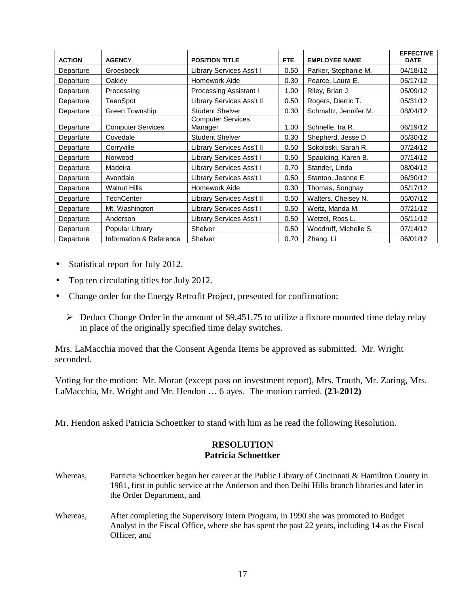| <b>ACTION</b> | <b>AGENCY</b>            | <b>POSITION TITLE</b>               | <b>FTE</b> | <b>EMPLOYEE NAME</b>  | <b>EFFECTIVE</b><br><b>DATE</b> |
|---------------|--------------------------|-------------------------------------|------------|-----------------------|---------------------------------|
| Departure     | Groesbeck                | Library Services Ass't I            | 0.50       | Parker, Stephanie M.  | 04/18/12                        |
| Departure     | Oakley                   | Homework Aide                       | 0.30       | Pearce, Laura E.      | 05/17/12                        |
| Departure     | Processing               | Processing Assistant I              | 1.00       | Riley, Brian J.       | 05/09/12                        |
| Departure     | TeenSpot                 | Library Services Ass't II           | 0.50       | Rogers, Dierric T.    | 05/31/12                        |
| Departure     | Green Township           | <b>Student Shelver</b>              | 0.30       | Schmaltz, Jennifer M. | 08/04/12                        |
| Departure     | <b>Computer Services</b> | <b>Computer Services</b><br>Manager | 1.00       | Schnelle, Ira R.      | 06/19/12                        |
| Departure     | Covedale                 | <b>Student Shelver</b>              | 0.30       | Shepherd, Jesse D.    | 05/30/12                        |
| Departure     | Corryville               | Library Services Ass't II           | 0.50       | Sokoloski, Sarah R.   | 07/24/12                        |
| Departure     | Norwood                  | Library Services Ass't I            | 0.50       | Spaulding, Karen B.   | 07/14/12                        |
| Departure     | Madeira                  | Library Services Ass't I            | 0.70       | Stander, Linda        | 08/04/12                        |
| Departure     | Avondale                 | Library Services Ass't I            | 0.50       | Stanton, Jeanne E.    | 06/30/12                        |
| Departure     | <b>Walnut Hills</b>      | Homework Aide                       | 0.30       | Thomas, Songhay       | 05/17/12                        |
| Departure     | <b>TechCenter</b>        | Library Services Ass't II           | 0.50       | Walters, Chelsey N.   | 05/07/12                        |
| Departure     | Mt. Washington           | Library Services Ass't I            | 0.50       | Weitz, Manda M.       | 07/21/12                        |
| Departure     | Anderson                 | Library Services Ass't I            | 0.50       | Wetzel, Ross L.       | 05/11/12                        |
| Departure     | Popular Library          | Shelver                             | 0.50       | Woodruff, Michelle S. | 07/14/12                        |
| Departure     | Information & Reference  | Shelver                             | 0.70       | Zhang, Li             | 06/01/12                        |

- Statistical report for July 2012.
- Top ten circulating titles for July 2012.
- Change order for the Energy Retrofit Project, presented for confirmation:
	- $\triangleright$  Deduct Change Order in the amount of \$9,451.75 to utilize a fixture mounted time delay relay in place of the originally specified time delay switches.

Mrs. LaMacchia moved that the Consent Agenda Items be approved as submitted. Mr. Wright seconded.

Voting for the motion: Mr. Moran (except pass on investment report), Mrs. Trauth, Mr. Zaring, Mrs. LaMacchia, Mr. Wright and Mr. Hendon … 6 ayes. The motion carried. **(23-2012)**

Mr. Hendon asked Patricia Schoettker to stand with him as he read the following Resolution.

### **RESOLUTION Patricia Schoettker**

- Whereas, Patricia Schoettker began her career at the Public Library of Cincinnati & Hamilton County in 1981, first in public service at the Anderson and then Delhi Hills branch libraries and later in the Order Department, and
- Whereas, After completing the Supervisory Intern Program, in 1990 she was promoted to Budget Analyst in the Fiscal Office, where she has spent the past 22 years, including 14 as the Fiscal Officer, and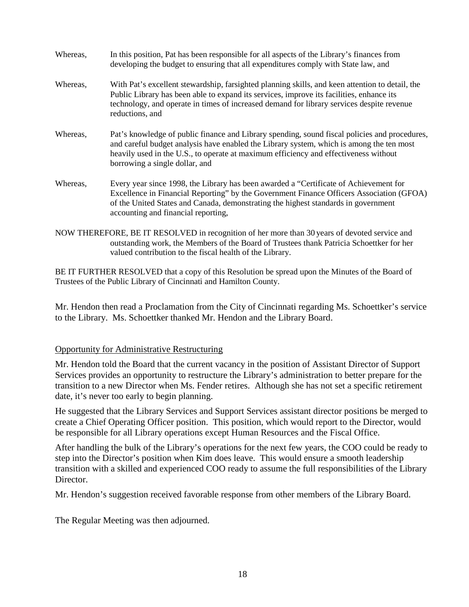| Whereas, | In this position, Pat has been responsible for all aspects of the Library's finances from<br>developing the budget to ensuring that all expenditures comply with State law, and                                                                                                                                     |
|----------|---------------------------------------------------------------------------------------------------------------------------------------------------------------------------------------------------------------------------------------------------------------------------------------------------------------------|
| Whereas, | With Pat's excellent stewardship, farsighted planning skills, and keen attention to detail, the<br>Public Library has been able to expand its services, improve its facilities, enhance its<br>technology, and operate in times of increased demand for library services despite revenue<br>reductions, and         |
| Whereas, | Pat's knowledge of public finance and Library spending, sound fiscal policies and procedures,<br>and careful budget analysis have enabled the Library system, which is among the ten most<br>heavily used in the U.S., to operate at maximum efficiency and effectiveness without<br>borrowing a single dollar, and |
| Whereas, | Every year since 1998, the Library has been awarded a "Certificate of Achievement for<br>Excellence in Financial Reporting" by the Government Finance Officers Association (GFOA)<br>of the United States and Canada, demonstrating the highest standards in government<br>accounting and financial reporting,      |
|          | NOW THEREFORE BE IT RESOLVED in recognition of her more than 30 years of devoted service and                                                                                                                                                                                                                        |

NOW THEREFORE, BE IT RESOLVED in recognition of her more than 30 years of devoted service and outstanding work, the Members of the Board of Trustees thank Patricia Schoettker for her valued contribution to the fiscal health of the Library.

BE IT FURTHER RESOLVED that a copy of this Resolution be spread upon the Minutes of the Board of Trustees of the Public Library of Cincinnati and Hamilton County.

Mr. Hendon then read a Proclamation from the City of Cincinnati regarding Ms. Schoettker's service to the Library. Ms. Schoettker thanked Mr. Hendon and the Library Board.

### Opportunity for Administrative Restructuring

Mr. Hendon told the Board that the current vacancy in the position of Assistant Director of Support Services provides an opportunity to restructure the Library's administration to better prepare for the transition to a new Director when Ms. Fender retires. Although she has not set a specific retirement date, it's never too early to begin planning.

He suggested that the Library Services and Support Services assistant director positions be merged to create a Chief Operating Officer position. This position, which would report to the Director, would be responsible for all Library operations except Human Resources and the Fiscal Office.

After handling the bulk of the Library's operations for the next few years, the COO could be ready to step into the Director's position when Kim does leave. This would ensure a smooth leadership transition with a skilled and experienced COO ready to assume the full responsibilities of the Library Director.

Mr. Hendon's suggestion received favorable response from other members of the Library Board.

The Regular Meeting was then adjourned.